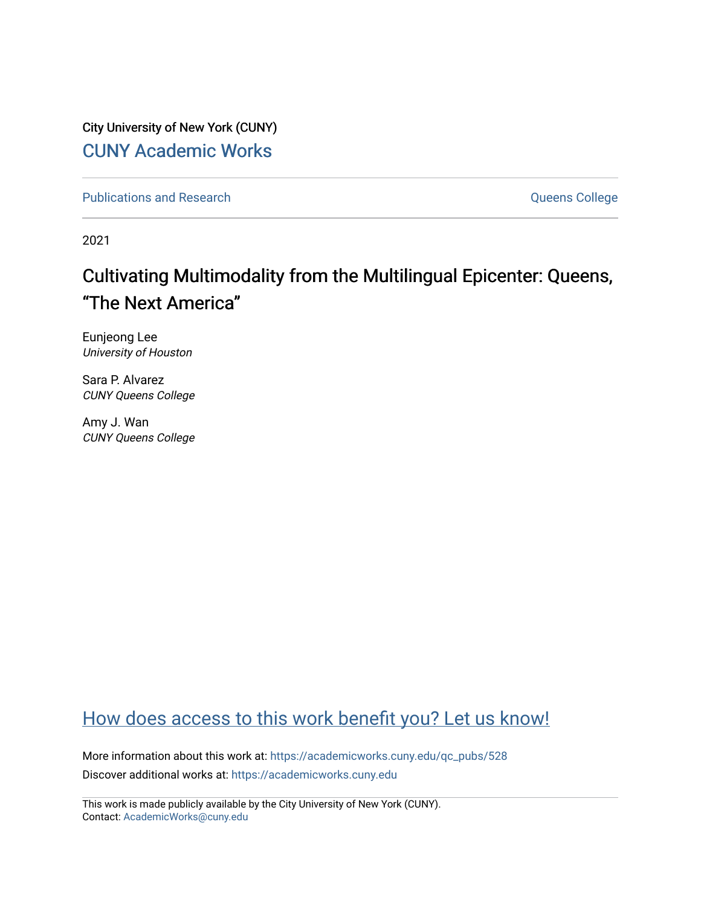City University of New York (CUNY) [CUNY Academic Works](https://academicworks.cuny.edu/) 

[Publications and Research](https://academicworks.cuny.edu/qc_pubs) **College** College and Theorem and Theorem and Theorem and Theorem and Theorem and Theorem and Theorem and Theorem and Theorem and Theorem and Theorem and Theorem and Theorem and Theorem and Theore

2021

# Cultivating Multimodality from the Multilingual Epicenter: Queens, "The Next America"

Eunjeong Lee University of Houston

Sara P. Alvarez CUNY Queens College

Amy J. Wan CUNY Queens College

# [How does access to this work benefit you? Let us know!](http://ols.cuny.edu/academicworks/?ref=https://academicworks.cuny.edu/qc_pubs/528)

More information about this work at: [https://academicworks.cuny.edu/qc\\_pubs/528](https://academicworks.cuny.edu/qc_pubs/528) Discover additional works at: [https://academicworks.cuny.edu](https://academicworks.cuny.edu/?)

This work is made publicly available by the City University of New York (CUNY). Contact: [AcademicWorks@cuny.edu](mailto:AcademicWorks@cuny.edu)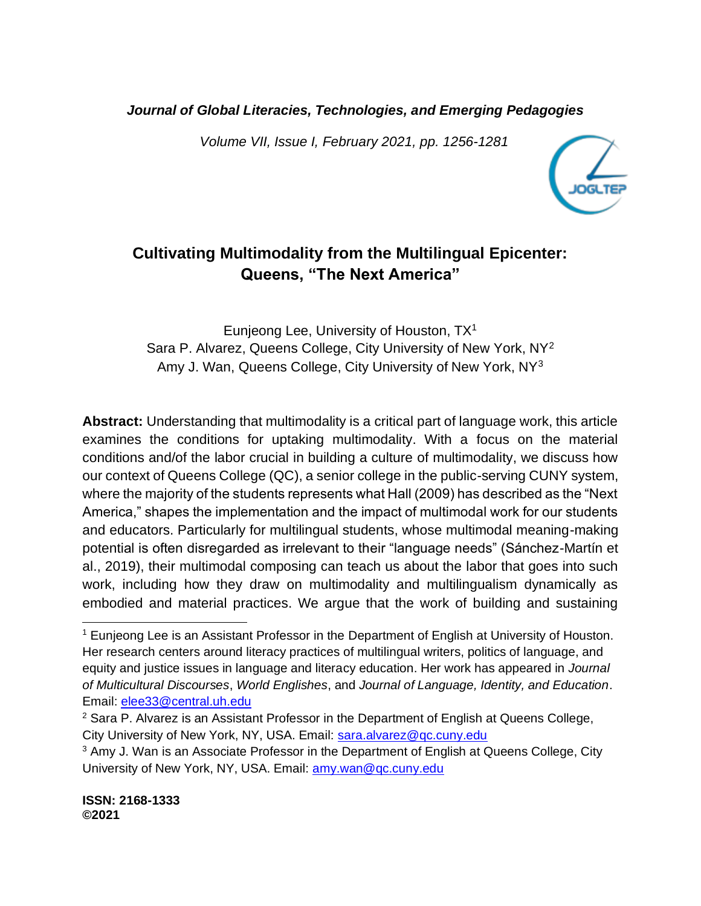*Journal of Global Literacies, Technologies, and Emerging Pedagogies*

*Volume VII, Issue I, February 2021, pp. 1256-1281*



## **Cultivating Multimodality from the Multilingual Epicenter: Queens, "The Next America"**

Eunjeong Lee, University of Houston, TX<sup>1</sup> Sara P. Alvarez, Queens College, City University of New York, NY<sup>2</sup> Amy J. Wan, Queens College, City University of New York, NY<sup>3</sup>

**Abstract:** Understanding that multimodality is a critical part of language work, this article examines the conditions for uptaking multimodality. With a focus on the material conditions and/of the labor crucial in building a culture of multimodality, we discuss how our context of Queens College (QC), a senior college in the public-serving CUNY system, where the majority of the students represents what Hall (2009) has described as the "Next America," shapes the implementation and the impact of multimodal work for our students and educators. Particularly for multilingual students, whose multimodal meaning-making potential is often disregarded as irrelevant to their "language needs" (Sánchez-Martín et al., 2019), their multimodal composing can teach us about the labor that goes into such work, including how they draw on multimodality and multilingualism dynamically as embodied and material practices. We argue that the work of building and sustaining

<sup>&</sup>lt;sup>1</sup> Eunjeong Lee is an Assistant Professor in the Department of English at University of Houston. Her research centers around literacy practices of multilingual writers, politics of language, and equity and justice issues in language and literacy education. Her work has appeared in *Journal of Multicultural Discourses*, *World Englishes*, and *Journal of Language, Identity, and Education*. Email: [elee33@central.uh.edu](mailto:elee33@central.uh.edu)

 $2$  Sara P. Alvarez is an Assistant Professor in the Department of English at Queens College, City University of New York, NY, USA. Email: [sara.alvarez@qc.cuny.edu](mailto:sara.alvarez@qc.cuny.edu)

<sup>&</sup>lt;sup>3</sup> Amy J. Wan is an Associate Professor in the Department of English at Queens College, City University of New York, NY, USA. Email: [amy.wan@qc.cuny.edu](mailto:amy.wan@qc.cuny.edu)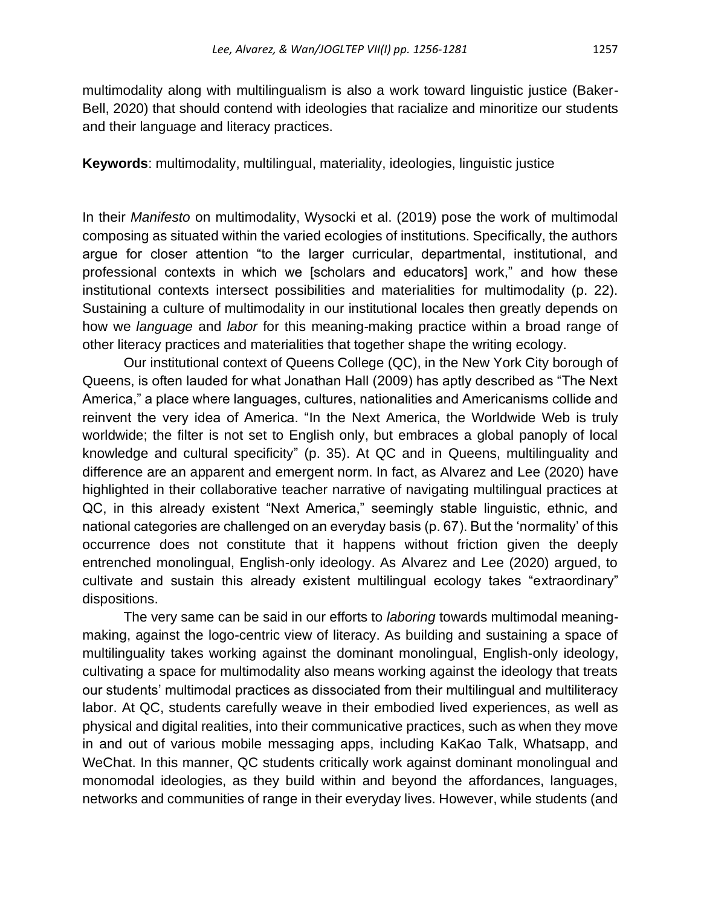multimodality along with multilingualism is also a work toward linguistic justice (Baker-Bell, 2020) that should contend with ideologies that racialize and minoritize our students and their language and literacy practices.

**Keywords**: multimodality, multilingual, materiality, ideologies, linguistic justice

In their *Manifesto* on multimodality, Wysocki et al. (2019) pose the work of multimodal composing as situated within the varied ecologies of institutions. Specifically, the authors argue for closer attention "to the larger curricular, departmental, institutional, and professional contexts in which we [scholars and educators] work," and how these institutional contexts intersect possibilities and materialities for multimodality (p. 22). Sustaining a culture of multimodality in our institutional locales then greatly depends on how we *language* and *labor* for this meaning-making practice within a broad range of other literacy practices and materialities that together shape the writing ecology.

Our institutional context of Queens College (QC), in the New York City borough of Queens, is often lauded for what Jonathan Hall (2009) has aptly described as "The Next America," a place where languages, cultures, nationalities and Americanisms collide and reinvent the very idea of America. "In the Next America, the Worldwide Web is truly worldwide; the filter is not set to English only, but embraces a global panoply of local knowledge and cultural specificity" (p. 35). At QC and in Queens, multilinguality and difference are an apparent and emergent norm. In fact, as Alvarez and Lee (2020) have highlighted in their collaborative teacher narrative of navigating multilingual practices at QC, in this already existent "Next America," seemingly stable linguistic, ethnic, and national categories are challenged on an everyday basis (p. 67). But the 'normality' of this occurrence does not constitute that it happens without friction given the deeply entrenched monolingual, English-only ideology. As Alvarez and Lee (2020) argued, to cultivate and sustain this already existent multilingual ecology takes "extraordinary" dispositions.

The very same can be said in our efforts to *laboring* towards multimodal meaningmaking, against the logo-centric view of literacy. As building and sustaining a space of multilinguality takes working against the dominant monolingual, English-only ideology, cultivating a space for multimodality also means working against the ideology that treats our students' multimodal practices as dissociated from their multilingual and multiliteracy labor. At QC, students carefully weave in their embodied lived experiences, as well as physical and digital realities, into their communicative practices, such as when they move in and out of various mobile messaging apps, including KaKao Talk, Whatsapp, and WeChat. In this manner, QC students critically work against dominant monolingual and monomodal ideologies, as they build within and beyond the affordances, languages, networks and communities of range in their everyday lives. However, while students (and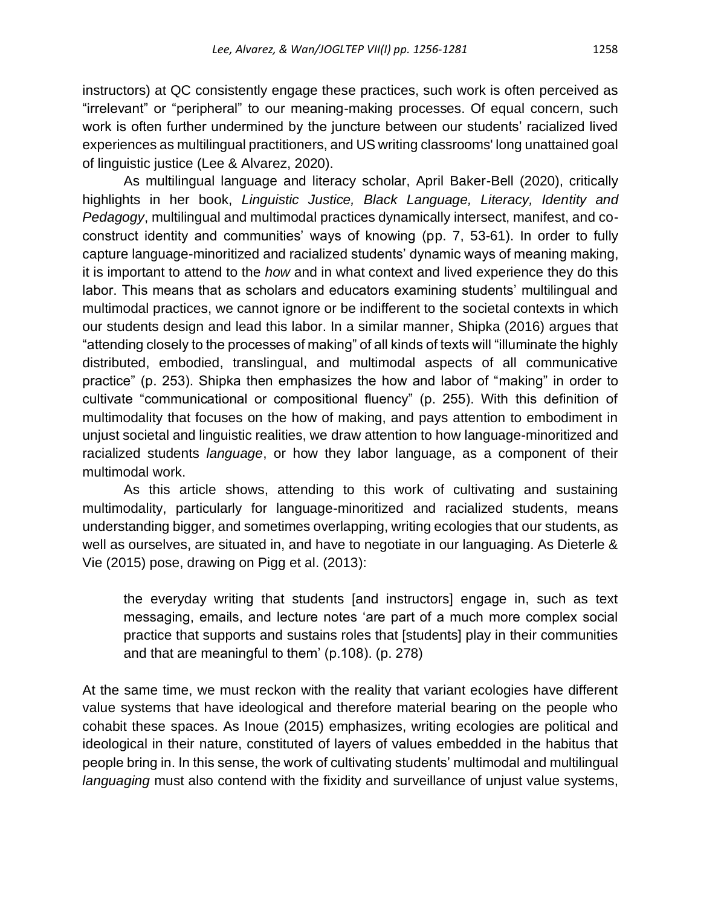instructors) at QC consistently engage these practices, such work is often perceived as "irrelevant" or "peripheral" to our meaning-making processes. Of equal concern, such work is often further undermined by the juncture between our students' racialized lived experiences as multilingual practitioners, and US writing classrooms' long unattained goal of linguistic justice (Lee & Alvarez, 2020).

As multilingual language and literacy scholar, April Baker-Bell (2020), critically highlights in her book, *Linguistic Justice, Black Language, Literacy, Identity and Pedagogy*, multilingual and multimodal practices dynamically intersect, manifest, and coconstruct identity and communities' ways of knowing (pp. 7, 53-61). In order to fully capture language-minoritized and racialized students' dynamic ways of meaning making, it is important to attend to the *how* and in what context and lived experience they do this labor. This means that as scholars and educators examining students' multilingual and multimodal practices, we cannot ignore or be indifferent to the societal contexts in which our students design and lead this labor. In a similar manner, Shipka (2016) argues that "attending closely to the processes of making" of all kinds of texts will "illuminate the highly distributed, embodied, translingual, and multimodal aspects of all communicative practice" (p. 253). Shipka then emphasizes the how and labor of "making" in order to cultivate "communicational or compositional fluency" (p. 255). With this definition of multimodality that focuses on the how of making, and pays attention to embodiment in unjust societal and linguistic realities, we draw attention to how language-minoritized and racialized students *language*, or how they labor language, as a component of their multimodal work.

As this article shows, attending to this work of cultivating and sustaining multimodality, particularly for language-minoritized and racialized students, means understanding bigger, and sometimes overlapping, writing ecologies that our students, as well as ourselves, are situated in, and have to negotiate in our languaging. As Dieterle & Vie (2015) pose, drawing on Pigg et al. (2013):

the everyday writing that students [and instructors] engage in, such as text messaging, emails, and lecture notes 'are part of a much more complex social practice that supports and sustains roles that [students] play in their communities and that are meaningful to them' (p.108). (p. 278)

At the same time, we must reckon with the reality that variant ecologies have different value systems that have ideological and therefore material bearing on the people who cohabit these spaces. As Inoue (2015) emphasizes, writing ecologies are political and ideological in their nature, constituted of layers of values embedded in the habitus that people bring in. In this sense, the work of cultivating students' multimodal and multilingual *languaging* must also contend with the fixidity and surveillance of unjust value systems,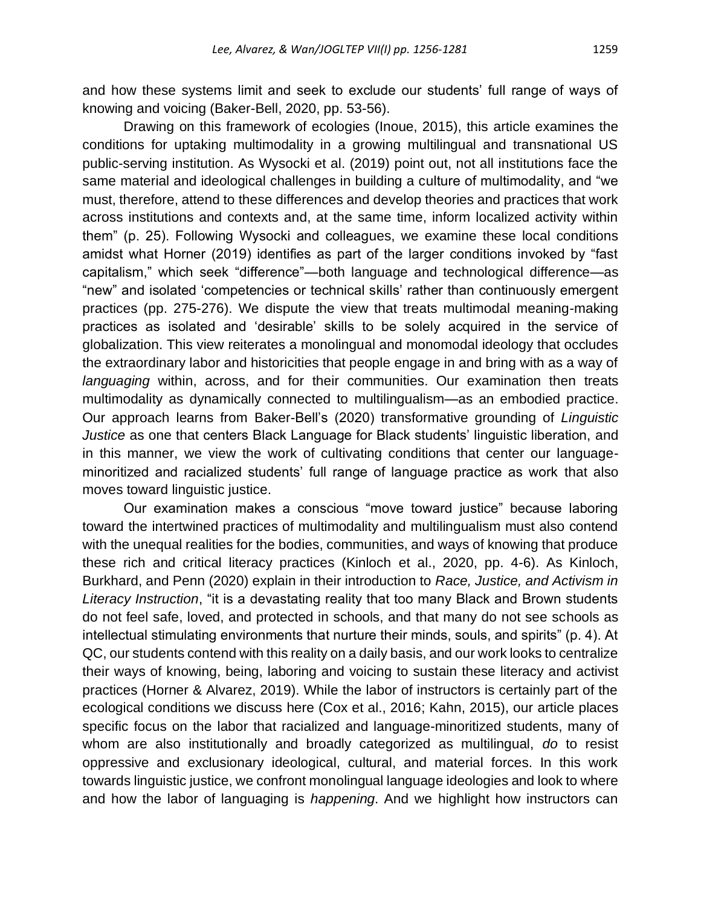and how these systems limit and seek to exclude our students' full range of ways of knowing and voicing (Baker-Bell, 2020, pp. 53-56).

Drawing on this framework of ecologies (Inoue, 2015), this article examines the conditions for uptaking multimodality in a growing multilingual and transnational US public-serving institution. As Wysocki et al. (2019) point out, not all institutions face the same material and ideological challenges in building a culture of multimodality, and "we must, therefore, attend to these differences and develop theories and practices that work across institutions and contexts and, at the same time, inform localized activity within them" (p. 25). Following Wysocki and colleagues, we examine these local conditions amidst what Horner (2019) identifies as part of the larger conditions invoked by "fast capitalism," which seek "difference"—both language and technological difference—as "new" and isolated 'competencies or technical skills' rather than continuously emergent practices (pp. 275-276). We dispute the view that treats multimodal meaning-making practices as isolated and 'desirable' skills to be solely acquired in the service of globalization. This view reiterates a monolingual and monomodal ideology that occludes the extraordinary labor and historicities that people engage in and bring with as a way of *languaging* within, across, and for their communities. Our examination then treats multimodality as dynamically connected to multilingualism—as an embodied practice. Our approach learns from Baker-Bell's (2020) transformative grounding of *Linguistic Justice* as one that centers Black Language for Black students' linguistic liberation, and in this manner, we view the work of cultivating conditions that center our languageminoritized and racialized students' full range of language practice as work that also moves toward linguistic justice.

Our examination makes a conscious "move toward justice" because laboring toward the intertwined practices of multimodality and multilingualism must also contend with the unequal realities for the bodies, communities, and ways of knowing that produce these rich and critical literacy practices (Kinloch et al., 2020, pp. 4-6). As Kinloch, Burkhard, and Penn (2020) explain in their introduction to *Race, Justice, and Activism in Literacy Instruction*, "it is a devastating reality that too many Black and Brown students do not feel safe, loved, and protected in schools, and that many do not see schools as intellectual stimulating environments that nurture their minds, souls, and spirits" (p. 4). At QC, our students contend with this reality on a daily basis, and our work looks to centralize their ways of knowing, being, laboring and voicing to sustain these literacy and activist practices (Horner & Alvarez, 2019). While the labor of instructors is certainly part of the ecological conditions we discuss here (Cox et al., 2016; Kahn, 2015), our article places specific focus on the labor that racialized and language-minoritized students, many of whom are also institutionally and broadly categorized as multilingual, *do* to resist oppressive and exclusionary ideological, cultural, and material forces. In this work towards linguistic justice, we confront monolingual language ideologies and look to where and how the labor of languaging is *happening*. And we highlight how instructors can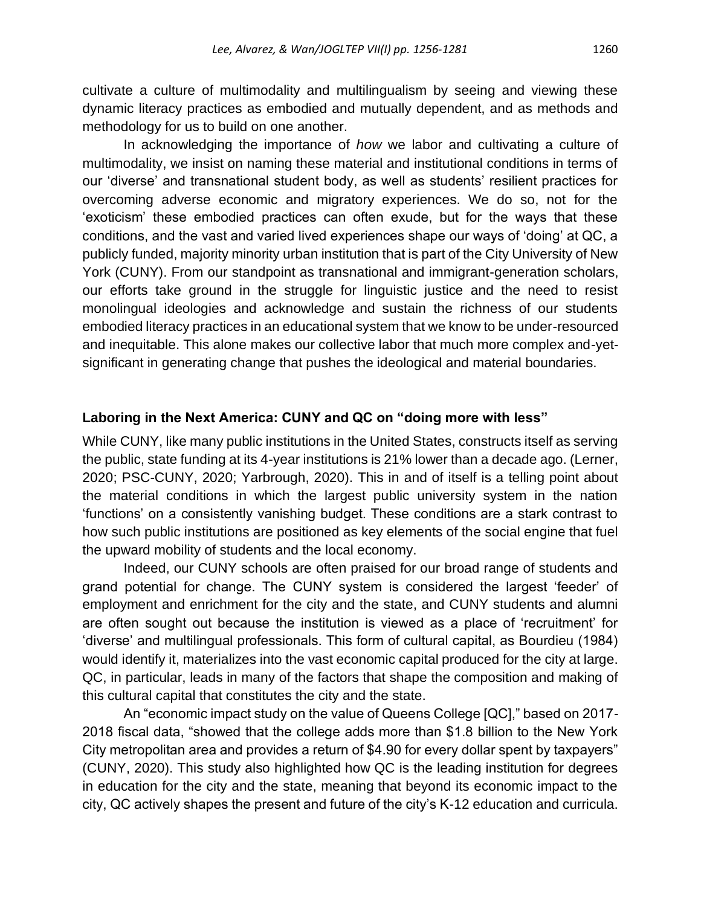cultivate a culture of multimodality and multilingualism by seeing and viewing these dynamic literacy practices as embodied and mutually dependent, and as methods and methodology for us to build on one another.

In acknowledging the importance of *how* we labor and cultivating a culture of multimodality, we insist on naming these material and institutional conditions in terms of our 'diverse' and transnational student body, as well as students' resilient practices for overcoming adverse economic and migratory experiences. We do so, not for the 'exoticism' these embodied practices can often exude, but for the ways that these conditions, and the vast and varied lived experiences shape our ways of 'doing' at QC, a publicly funded, majority minority urban institution that is part of the City University of New York (CUNY). From our standpoint as transnational and immigrant-generation scholars, our efforts take ground in the struggle for linguistic justice and the need to resist monolingual ideologies and acknowledge and sustain the richness of our students embodied literacy practices in an educational system that we know to be under-resourced and inequitable. This alone makes our collective labor that much more complex and-yetsignificant in generating change that pushes the ideological and material boundaries.

### **Laboring in the Next America: CUNY and QC on "doing more with less"**

While CUNY, like many public institutions in the United States, constructs itself as serving the public, state funding at its 4-year institutions is 21% lower than a decade ago. (Lerner, 2020; PSC-CUNY, 2020; Yarbrough, 2020). This in and of itself is a telling point about the material conditions in which the largest public university system in the nation 'functions' on a consistently vanishing budget. These conditions are a stark contrast to how such public institutions are positioned as key elements of the social engine that fuel the upward mobility of students and the local economy.

Indeed, our CUNY schools are often praised for our broad range of students and grand potential for change. The CUNY system is considered the largest 'feeder' of employment and enrichment for the city and the state, and CUNY students and alumni are often sought out because the institution is viewed as a place of 'recruitment' for 'diverse' and multilingual professionals. This form of cultural capital, as Bourdieu (1984) would identify it, materializes into the vast economic capital produced for the city at large. QC, in particular, leads in many of the factors that shape the composition and making of this cultural capital that constitutes the city and the state.

An "economic impact study on the value of Queens College [QC]," based on 2017- 2018 fiscal data, "showed that the college adds more than \$1.8 billion to the New York City metropolitan area and provides a return of \$4.90 for every dollar spent by taxpayers" (CUNY, 2020). This study also highlighted how QC is the leading institution for degrees in education for the city and the state, meaning that beyond its economic impact to the city, QC actively shapes the present and future of the city's K-12 education and curricula.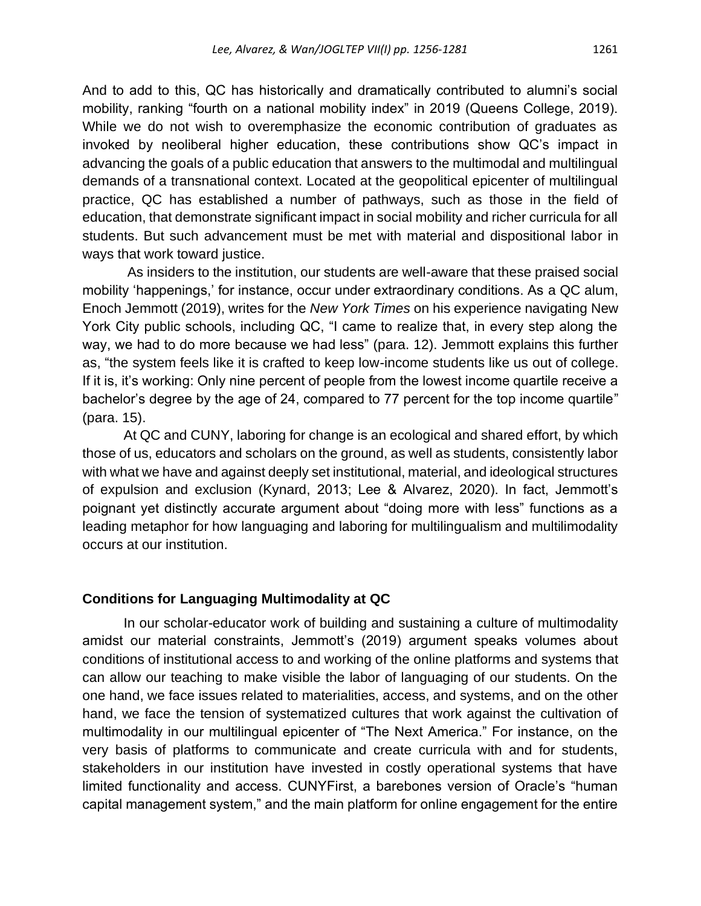And to add to this, QC has historically and dramatically contributed to alumni's social mobility, ranking "fourth on a national mobility index" in 2019 (Queens College, 2019). While we do not wish to overemphasize the economic contribution of graduates as invoked by neoliberal higher education, these contributions show QC's impact in advancing the goals of a public education that answers to the multimodal and multilingual demands of a transnational context. Located at the geopolitical epicenter of multilingual practice, QC has established a number of pathways, such as those in the field of education, that demonstrate significant impact in social mobility and richer curricula for all students. But such advancement must be met with material and dispositional labor in ways that work toward justice.

As insiders to the institution, our students are well-aware that these praised social mobility 'happenings,' for instance, occur under extraordinary conditions. As a QC alum, Enoch Jemmott (2019), writes for the *New York Times* on his experience navigating New York City public schools, including QC, "I came to realize that, in every step along the way, we had to do more because we had less" (para. 12). Jemmott explains this further as, "the system feels like it is crafted to keep low-income students like us out of college. If it is, it's working: Only nine percent of people from the lowest income quartile receive a bachelor's degree by the age of 24, compared to 77 percent for the top income quartile" (para. 15).

At QC and CUNY, laboring for change is an ecological and shared effort, by which those of us, educators and scholars on the ground, as well as students, consistently labor with what we have and against deeply set institutional, material, and ideological structures of expulsion and exclusion (Kynard, 2013; Lee & Alvarez, 2020). In fact, Jemmott's poignant yet distinctly accurate argument about "doing more with less" functions as a leading metaphor for how languaging and laboring for multilingualism and multilimodality occurs at our institution.

### **Conditions for Languaging Multimodality at QC**

In our scholar-educator work of building and sustaining a culture of multimodality amidst our material constraints, Jemmott's (2019) argument speaks volumes about conditions of institutional access to and working of the online platforms and systems that can allow our teaching to make visible the labor of languaging of our students. On the one hand, we face issues related to materialities, access, and systems, and on the other hand, we face the tension of systematized cultures that work against the cultivation of multimodality in our multilingual epicenter of "The Next America." For instance, on the very basis of platforms to communicate and create curricula with and for students, stakeholders in our institution have invested in costly operational systems that have limited functionality and access. CUNYFirst, a barebones version of Oracle's "human capital management system," and the main platform for online engagement for the entire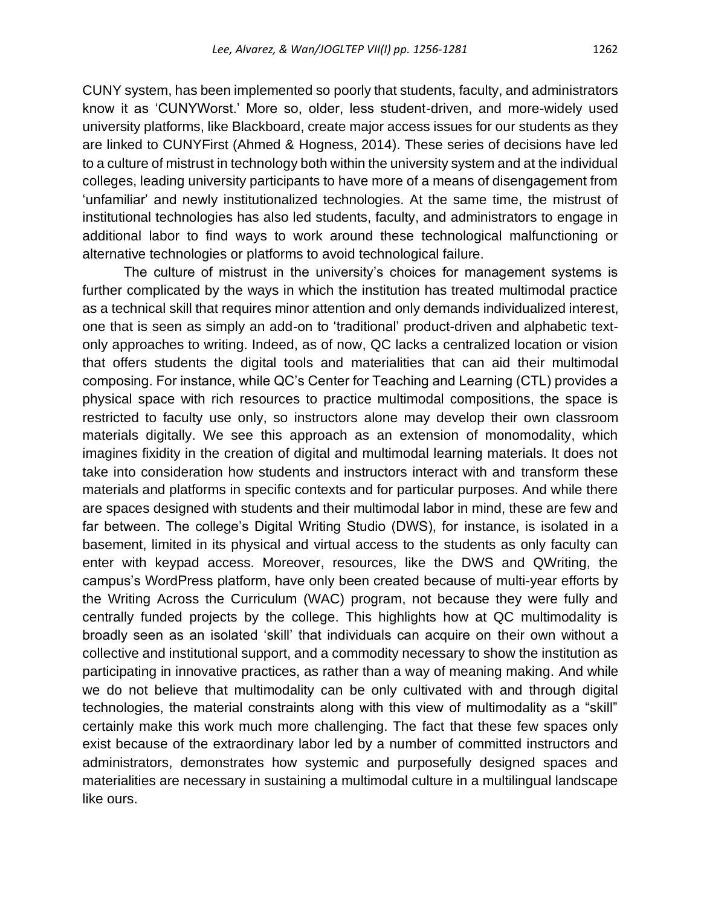CUNY system, has been implemented so poorly that students, faculty, and administrators know it as 'CUNYWorst.' More so, older, less student-driven, and more-widely used university platforms, like Blackboard, create major access issues for our students as they are linked to CUNYFirst (Ahmed & Hogness, 2014). These series of decisions have led to a culture of mistrust in technology both within the university system and at the individual colleges, leading university participants to have more of a means of disengagement from 'unfamiliar' and newly institutionalized technologies. At the same time, the mistrust of institutional technologies has also led students, faculty, and administrators to engage in additional labor to find ways to work around these technological malfunctioning or alternative technologies or platforms to avoid technological failure.

The culture of mistrust in the university's choices for management systems is further complicated by the ways in which the institution has treated multimodal practice as a technical skill that requires minor attention and only demands individualized interest, one that is seen as simply an add-on to 'traditional' product-driven and alphabetic textonly approaches to writing. Indeed, as of now, QC lacks a centralized location or vision that offers students the digital tools and materialities that can aid their multimodal composing. For instance, while QC's Center for Teaching and Learning (CTL) provides a physical space with rich resources to practice multimodal compositions, the space is restricted to faculty use only, so instructors alone may develop their own classroom materials digitally. We see this approach as an extension of monomodality, which imagines fixidity in the creation of digital and multimodal learning materials. It does not take into consideration how students and instructors interact with and transform these materials and platforms in specific contexts and for particular purposes. And while there are spaces designed with students and their multimodal labor in mind, these are few and far between. The college's Digital Writing Studio (DWS), for instance, is isolated in a basement, limited in its physical and virtual access to the students as only faculty can enter with keypad access. Moreover, resources, like the DWS and QWriting, the campus's WordPress platform, have only been created because of multi-year efforts by the Writing Across the Curriculum (WAC) program, not because they were fully and centrally funded projects by the college. This highlights how at QC multimodality is broadly seen as an isolated 'skill' that individuals can acquire on their own without a collective and institutional support, and a commodity necessary to show the institution as participating in innovative practices, as rather than a way of meaning making. And while we do not believe that multimodality can be only cultivated with and through digital technologies, the material constraints along with this view of multimodality as a "skill" certainly make this work much more challenging. The fact that these few spaces only exist because of the extraordinary labor led by a number of committed instructors and administrators, demonstrates how systemic and purposefully designed spaces and materialities are necessary in sustaining a multimodal culture in a multilingual landscape like ours.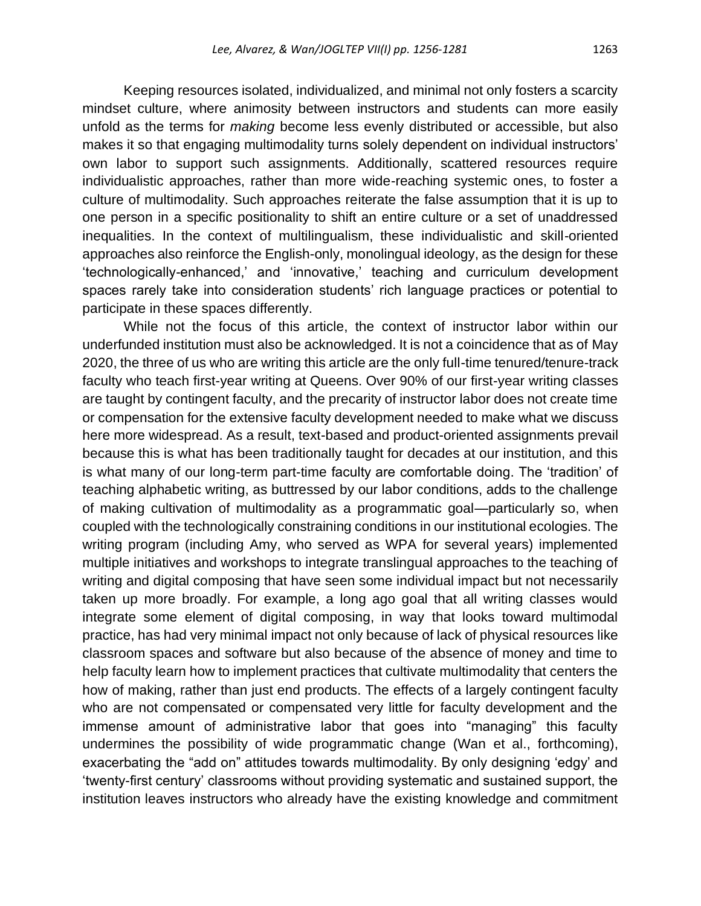Keeping resources isolated, individualized, and minimal not only fosters a scarcity mindset culture, where animosity between instructors and students can more easily unfold as the terms for *making* become less evenly distributed or accessible, but also makes it so that engaging multimodality turns solely dependent on individual instructors' own labor to support such assignments. Additionally, scattered resources require individualistic approaches, rather than more wide-reaching systemic ones, to foster a culture of multimodality. Such approaches reiterate the false assumption that it is up to one person in a specific positionality to shift an entire culture or a set of unaddressed inequalities. In the context of multilingualism, these individualistic and skill-oriented approaches also reinforce the English-only, monolingual ideology, as the design for these 'technologically-enhanced,' and 'innovative,' teaching and curriculum development spaces rarely take into consideration students' rich language practices or potential to participate in these spaces differently.

While not the focus of this article, the context of instructor labor within our underfunded institution must also be acknowledged. It is not a coincidence that as of May 2020, the three of us who are writing this article are the only full-time tenured/tenure-track faculty who teach first-year writing at Queens. Over 90% of our first-year writing classes are taught by contingent faculty, and the precarity of instructor labor does not create time or compensation for the extensive faculty development needed to make what we discuss here more widespread. As a result, text-based and product-oriented assignments prevail because this is what has been traditionally taught for decades at our institution, and this is what many of our long-term part-time faculty are comfortable doing. The 'tradition' of teaching alphabetic writing, as buttressed by our labor conditions, adds to the challenge of making cultivation of multimodality as a programmatic goal—particularly so, when coupled with the technologically constraining conditions in our institutional ecologies. The writing program (including Amy, who served as WPA for several years) implemented multiple initiatives and workshops to integrate translingual approaches to the teaching of writing and digital composing that have seen some individual impact but not necessarily taken up more broadly. For example, a long ago goal that all writing classes would integrate some element of digital composing, in way that looks toward multimodal practice, has had very minimal impact not only because of lack of physical resources like classroom spaces and software but also because of the absence of money and time to help faculty learn how to implement practices that cultivate multimodality that centers the how of making, rather than just end products. The effects of a largely contingent faculty who are not compensated or compensated very little for faculty development and the immense amount of administrative labor that goes into "managing" this faculty undermines the possibility of wide programmatic change (Wan et al., forthcoming), exacerbating the "add on" attitudes towards multimodality. By only designing 'edgy' and 'twenty-first century' classrooms without providing systematic and sustained support, the institution leaves instructors who already have the existing knowledge and commitment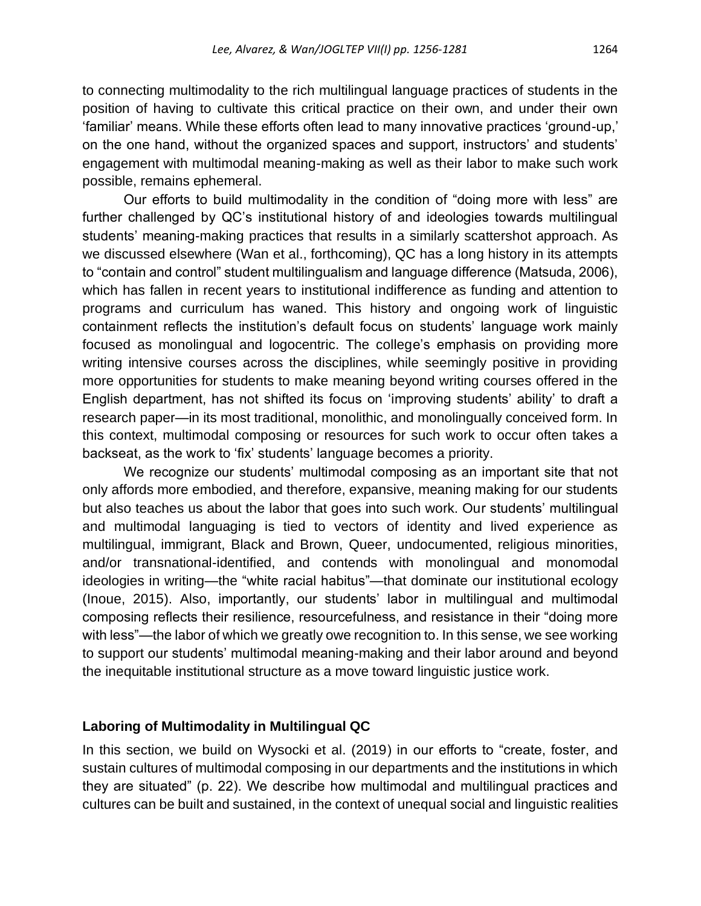to connecting multimodality to the rich multilingual language practices of students in the position of having to cultivate this critical practice on their own, and under their own 'familiar' means. While these efforts often lead to many innovative practices 'ground-up,' on the one hand, without the organized spaces and support, instructors' and students' engagement with multimodal meaning-making as well as their labor to make such work possible, remains ephemeral.

Our efforts to build multimodality in the condition of "doing more with less" are further challenged by QC's institutional history of and ideologies towards multilingual students' meaning-making practices that results in a similarly scattershot approach. As we discussed elsewhere (Wan et al., forthcoming), QC has a long history in its attempts to "contain and control" student multilingualism and language difference (Matsuda, 2006), which has fallen in recent years to institutional indifference as funding and attention to programs and curriculum has waned. This history and ongoing work of linguistic containment reflects the institution's default focus on students' language work mainly focused as monolingual and logocentric. The college's emphasis on providing more writing intensive courses across the disciplines, while seemingly positive in providing more opportunities for students to make meaning beyond writing courses offered in the English department, has not shifted its focus on 'improving students' ability' to draft a research paper—in its most traditional, monolithic, and monolingually conceived form. In this context, multimodal composing or resources for such work to occur often takes a backseat, as the work to 'fix' students' language becomes a priority.

We recognize our students' multimodal composing as an important site that not only affords more embodied, and therefore, expansive, meaning making for our students but also teaches us about the labor that goes into such work. Our students' multilingual and multimodal languaging is tied to vectors of identity and lived experience as multilingual, immigrant, Black and Brown, Queer, undocumented, religious minorities, and/or transnational-identified, and contends with monolingual and monomodal ideologies in writing—the "white racial habitus"—that dominate our institutional ecology (Inoue, 2015). Also, importantly, our students' labor in multilingual and multimodal composing reflects their resilience, resourcefulness, and resistance in their "doing more with less"—the labor of which we greatly owe recognition to. In this sense, we see working to support our students' multimodal meaning-making and their labor around and beyond the inequitable institutional structure as a move toward linguistic justice work.

### **Laboring of Multimodality in Multilingual QC**

In this section, we build on Wysocki et al. (2019) in our efforts to "create, foster, and sustain cultures of multimodal composing in our departments and the institutions in which they are situated" (p. 22). We describe how multimodal and multilingual practices and cultures can be built and sustained, in the context of unequal social and linguistic realities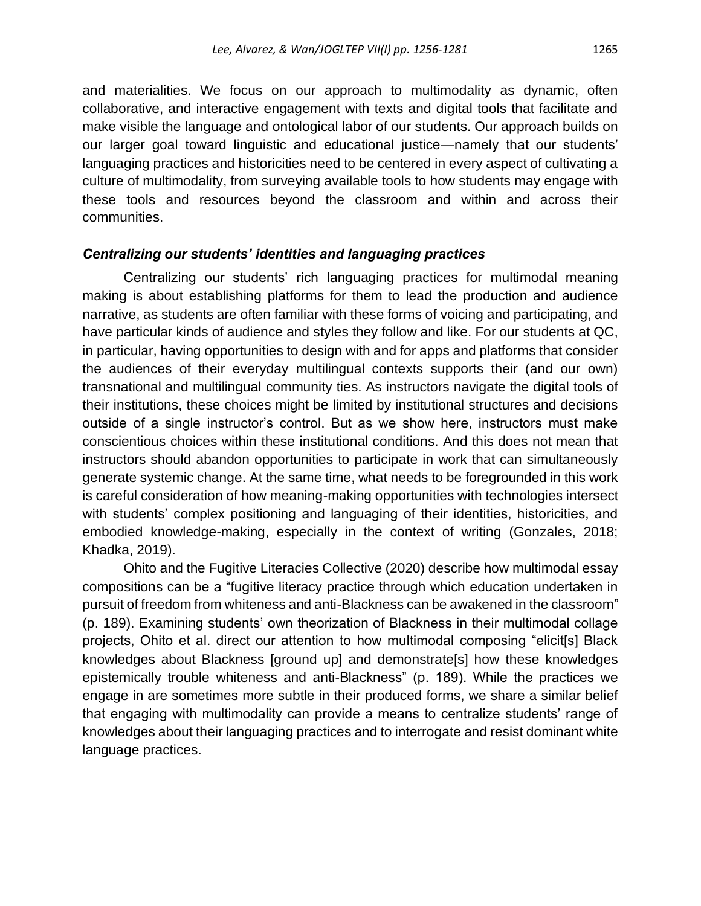and materialities. We focus on our approach to multimodality as dynamic, often collaborative, and interactive engagement with texts and digital tools that facilitate and make visible the language and ontological labor of our students. Our approach builds on our larger goal toward linguistic and educational justice—namely that our students' languaging practices and historicities need to be centered in every aspect of cultivating a culture of multimodality, from surveying available tools to how students may engage with these tools and resources beyond the classroom and within and across their communities.

### *Centralizing our students' identities and languaging practices*

Centralizing our students' rich languaging practices for multimodal meaning making is about establishing platforms for them to lead the production and audience narrative, as students are often familiar with these forms of voicing and participating, and have particular kinds of audience and styles they follow and like. For our students at QC, in particular, having opportunities to design with and for apps and platforms that consider the audiences of their everyday multilingual contexts supports their (and our own) transnational and multilingual community ties. As instructors navigate the digital tools of their institutions, these choices might be limited by institutional structures and decisions outside of a single instructor's control. But as we show here, instructors must make conscientious choices within these institutional conditions. And this does not mean that instructors should abandon opportunities to participate in work that can simultaneously generate systemic change. At the same time, what needs to be foregrounded in this work is careful consideration of how meaning-making opportunities with technologies intersect with students' complex positioning and languaging of their identities, historicities, and embodied knowledge-making, especially in the context of writing (Gonzales, 2018; Khadka, 2019).

Ohito and the Fugitive Literacies Collective (2020) describe how multimodal essay compositions can be a "fugitive literacy practice through which education undertaken in pursuit of freedom from whiteness and anti-Blackness can be awakened in the classroom" (p. 189). Examining students' own theorization of Blackness in their multimodal collage projects, Ohito et al. direct our attention to how multimodal composing "elicit[s] Black knowledges about Blackness [ground up] and demonstrate[s] how these knowledges epistemically trouble whiteness and anti-Blackness" (p. 189). While the practices we engage in are sometimes more subtle in their produced forms, we share a similar belief that engaging with multimodality can provide a means to centralize students' range of knowledges about their languaging practices and to interrogate and resist dominant white language practices.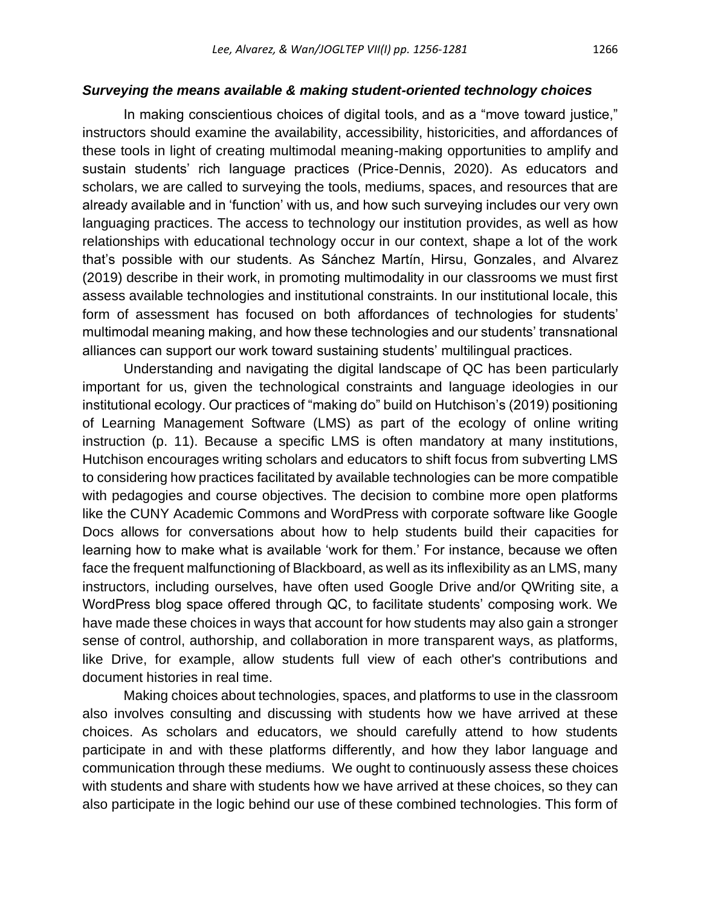#### *Surveying the means available & making student-oriented technology choices*

In making conscientious choices of digital tools, and as a "move toward justice," instructors should examine the availability, accessibility, historicities, and affordances of these tools in light of creating multimodal meaning-making opportunities to amplify and sustain students' rich language practices (Price-Dennis, 2020). As educators and scholars, we are called to surveying the tools, mediums, spaces, and resources that are already available and in 'function' with us, and how such surveying includes our very own languaging practices. The access to technology our institution provides, as well as how relationships with educational technology occur in our context, shape a lot of the work that's possible with our students. As Sánchez Martín, Hirsu, Gonzales, and Alvarez (2019) describe in their work, in promoting multimodality in our classrooms we must first assess available technologies and institutional constraints. In our institutional locale, this form of assessment has focused on both affordances of technologies for students' multimodal meaning making, and how these technologies and our students' transnational alliances can support our work toward sustaining students' multilingual practices.

Understanding and navigating the digital landscape of QC has been particularly important for us, given the technological constraints and language ideologies in our institutional ecology. Our practices of "making do" build on Hutchison's (2019) positioning of Learning Management Software (LMS) as part of the ecology of online writing instruction (p. 11). Because a specific LMS is often mandatory at many institutions, Hutchison encourages writing scholars and educators to shift focus from subverting LMS to considering how practices facilitated by available technologies can be more compatible with pedagogies and course objectives. The decision to combine more open platforms like the CUNY Academic Commons and WordPress with corporate software like Google Docs allows for conversations about how to help students build their capacities for learning how to make what is available 'work for them.' For instance, because we often face the frequent malfunctioning of Blackboard, as well as its inflexibility as an LMS, many instructors, including ourselves, have often used Google Drive and/or QWriting site, a WordPress blog space offered through QC, to facilitate students' composing work. We have made these choices in ways that account for how students may also gain a stronger sense of control, authorship, and collaboration in more transparent ways, as platforms, like Drive, for example, allow students full view of each other's contributions and document histories in real time.

Making choices about technologies, spaces, and platforms to use in the classroom also involves consulting and discussing with students how we have arrived at these choices. As scholars and educators, we should carefully attend to how students participate in and with these platforms differently, and how they labor language and communication through these mediums. We ought to continuously assess these choices with students and share with students how we have arrived at these choices, so they can also participate in the logic behind our use of these combined technologies. This form of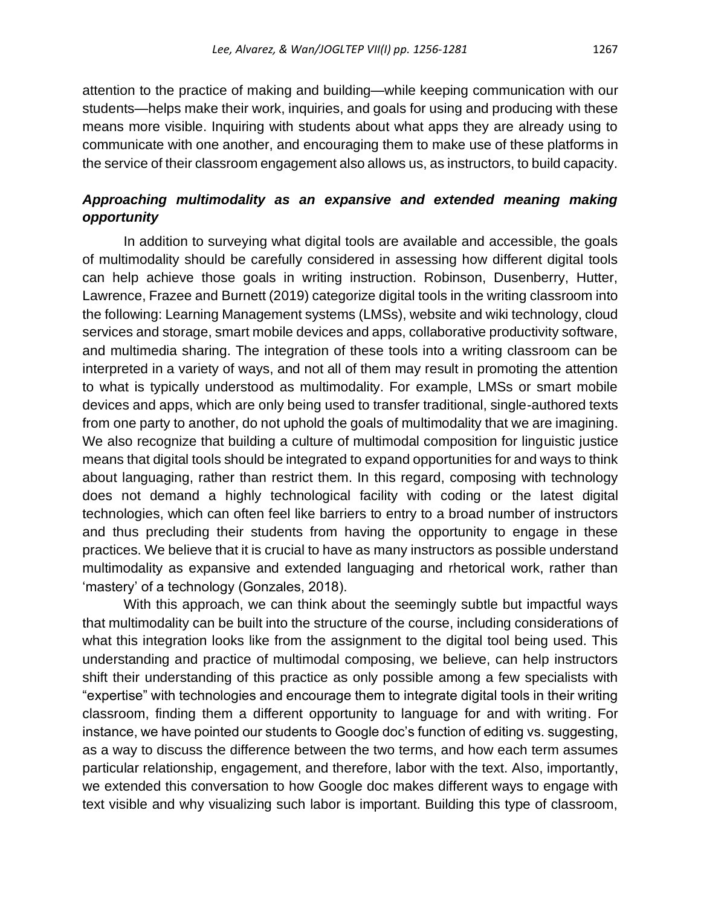attention to the practice of making and building—while keeping communication with our students—helps make their work, inquiries, and goals for using and producing with these means more visible. Inquiring with students about what apps they are already using to communicate with one another, and encouraging them to make use of these platforms in the service of their classroom engagement also allows us, as instructors, to build capacity.

### *Approaching multimodality as an expansive and extended meaning making opportunity*

In addition to surveying what digital tools are available and accessible, the goals of multimodality should be carefully considered in assessing how different digital tools can help achieve those goals in writing instruction. Robinson, Dusenberry, Hutter, Lawrence, Frazee and Burnett (2019) categorize digital tools in the writing classroom into the following: Learning Management systems (LMSs), website and wiki technology, cloud services and storage, smart mobile devices and apps, collaborative productivity software, and multimedia sharing. The integration of these tools into a writing classroom can be interpreted in a variety of ways, and not all of them may result in promoting the attention to what is typically understood as multimodality. For example, LMSs or smart mobile devices and apps, which are only being used to transfer traditional, single-authored texts from one party to another, do not uphold the goals of multimodality that we are imagining. We also recognize that building a culture of multimodal composition for linguistic justice means that digital tools should be integrated to expand opportunities for and ways to think about languaging, rather than restrict them. In this regard, composing with technology does not demand a highly technological facility with coding or the latest digital technologies, which can often feel like barriers to entry to a broad number of instructors and thus precluding their students from having the opportunity to engage in these practices. We believe that it is crucial to have as many instructors as possible understand multimodality as expansive and extended languaging and rhetorical work, rather than 'mastery' of a technology (Gonzales, 2018).

With this approach, we can think about the seemingly subtle but impactful ways that multimodality can be built into the structure of the course, including considerations of what this integration looks like from the assignment to the digital tool being used. This understanding and practice of multimodal composing, we believe, can help instructors shift their understanding of this practice as only possible among a few specialists with "expertise" with technologies and encourage them to integrate digital tools in their writing classroom, finding them a different opportunity to language for and with writing. For instance, we have pointed our students to Google doc's function of editing vs. suggesting, as a way to discuss the difference between the two terms, and how each term assumes particular relationship, engagement, and therefore, labor with the text. Also, importantly, we extended this conversation to how Google doc makes different ways to engage with text visible and why visualizing such labor is important. Building this type of classroom,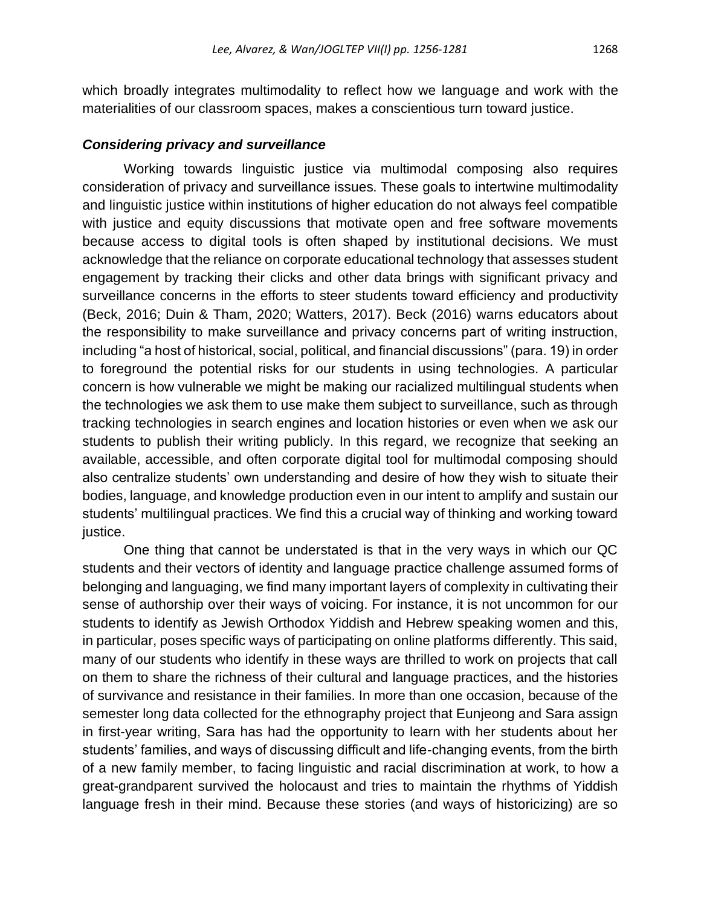which broadly integrates multimodality to reflect how we language and work with the materialities of our classroom spaces, makes a conscientious turn toward justice.

### *Considering privacy and surveillance*

Working towards linguistic justice via multimodal composing also requires consideration of privacy and surveillance issues. These goals to intertwine multimodality and linguistic justice within institutions of higher education do not always feel compatible with justice and equity discussions that motivate open and free software movements because access to digital tools is often shaped by institutional decisions. We must acknowledge that the reliance on corporate educational technology that assesses student engagement by tracking their clicks and other data brings with significant privacy and surveillance concerns in the efforts to steer students toward efficiency and productivity (Beck, 2016; Duin & Tham, 2020; Watters, 2017). Beck (2016) warns educators about the responsibility to make surveillance and privacy concerns part of writing instruction, including "a host of historical, social, political, and financial discussions" (para. 19) in order to foreground the potential risks for our students in using technologies. A particular concern is how vulnerable we might be making our racialized multilingual students when the technologies we ask them to use make them subject to surveillance, such as through tracking technologies in search engines and location histories or even when we ask our students to publish their writing publicly. In this regard, we recognize that seeking an available, accessible, and often corporate digital tool for multimodal composing should also centralize students' own understanding and desire of how they wish to situate their bodies, language, and knowledge production even in our intent to amplify and sustain our students' multilingual practices. We find this a crucial way of thinking and working toward justice.

One thing that cannot be understated is that in the very ways in which our QC students and their vectors of identity and language practice challenge assumed forms of belonging and languaging, we find many important layers of complexity in cultivating their sense of authorship over their ways of voicing. For instance, it is not uncommon for our students to identify as Jewish Orthodox Yiddish and Hebrew speaking women and this, in particular, poses specific ways of participating on online platforms differently. This said, many of our students who identify in these ways are thrilled to work on projects that call on them to share the richness of their cultural and language practices, and the histories of survivance and resistance in their families. In more than one occasion, because of the semester long data collected for the ethnography project that Eunjeong and Sara assign in first-year writing, Sara has had the opportunity to learn with her students about her students' families, and ways of discussing difficult and life-changing events, from the birth of a new family member, to facing linguistic and racial discrimination at work, to how a great-grandparent survived the holocaust and tries to maintain the rhythms of Yiddish language fresh in their mind. Because these stories (and ways of historicizing) are so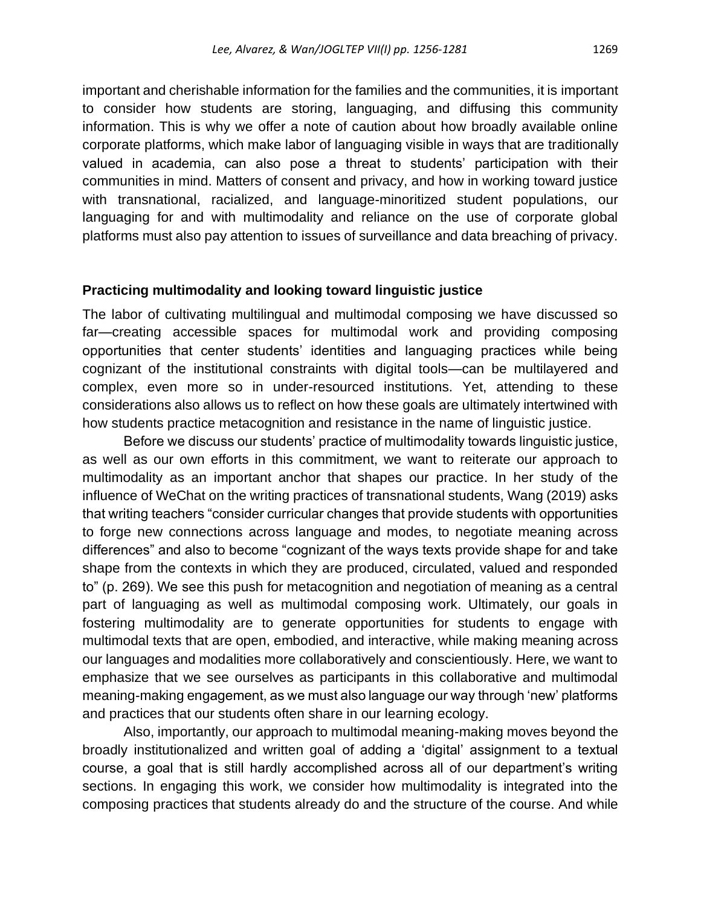important and cherishable information for the families and the communities, it is important to consider how students are storing, languaging, and diffusing this community information. This is why we offer a note of caution about how broadly available online corporate platforms, which make labor of languaging visible in ways that are traditionally valued in academia, can also pose a threat to students' participation with their communities in mind. Matters of consent and privacy, and how in working toward justice with transnational, racialized, and language-minoritized student populations, our languaging for and with multimodality and reliance on the use of corporate global platforms must also pay attention to issues of surveillance and data breaching of privacy.

### **Practicing multimodality and looking toward linguistic justice**

The labor of cultivating multilingual and multimodal composing we have discussed so far—creating accessible spaces for multimodal work and providing composing opportunities that center students' identities and languaging practices while being cognizant of the institutional constraints with digital tools—can be multilayered and complex, even more so in under-resourced institutions. Yet, attending to these considerations also allows us to reflect on how these goals are ultimately intertwined with how students practice metacognition and resistance in the name of linguistic justice.

Before we discuss our students' practice of multimodality towards linguistic justice, as well as our own efforts in this commitment, we want to reiterate our approach to multimodality as an important anchor that shapes our practice. In her study of the influence of WeChat on the writing practices of transnational students, Wang (2019) asks that writing teachers "consider curricular changes that provide students with opportunities to forge new connections across language and modes, to negotiate meaning across differences" and also to become "cognizant of the ways texts provide shape for and take shape from the contexts in which they are produced, circulated, valued and responded to" (p. 269). We see this push for metacognition and negotiation of meaning as a central part of languaging as well as multimodal composing work. Ultimately, our goals in fostering multimodality are to generate opportunities for students to engage with multimodal texts that are open, embodied, and interactive, while making meaning across our languages and modalities more collaboratively and conscientiously. Here, we want to emphasize that we see ourselves as participants in this collaborative and multimodal meaning-making engagement, as we must also language our way through 'new' platforms and practices that our students often share in our learning ecology.

Also, importantly, our approach to multimodal meaning-making moves beyond the broadly institutionalized and written goal of adding a 'digital' assignment to a textual course, a goal that is still hardly accomplished across all of our department's writing sections. In engaging this work, we consider how multimodality is integrated into the composing practices that students already do and the structure of the course. And while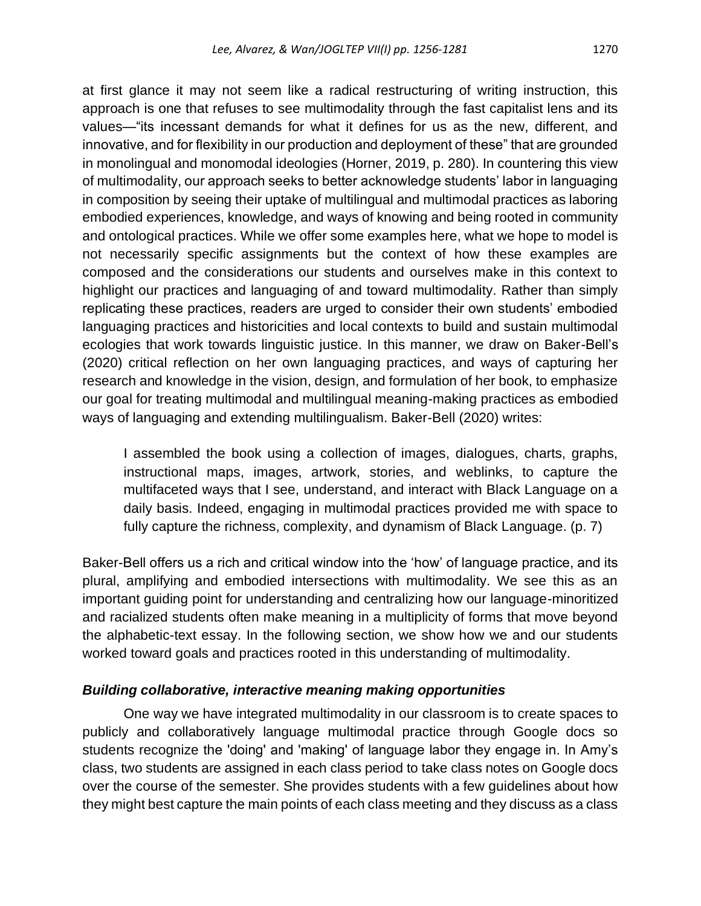at first glance it may not seem like a radical restructuring of writing instruction, this approach is one that refuses to see multimodality through the fast capitalist lens and its values—"its incessant demands for what it defines for us as the new, different, and innovative, and for flexibility in our production and deployment of these" that are grounded in monolingual and monomodal ideologies (Horner, 2019, p. 280). In countering this view of multimodality, our approach seeks to better acknowledge students' labor in languaging in composition by seeing their uptake of multilingual and multimodal practices as laboring embodied experiences, knowledge, and ways of knowing and being rooted in community and ontological practices. While we offer some examples here, what we hope to model is not necessarily specific assignments but the context of how these examples are composed and the considerations our students and ourselves make in this context to highlight our practices and languaging of and toward multimodality. Rather than simply replicating these practices, readers are urged to consider their own students' embodied languaging practices and historicities and local contexts to build and sustain multimodal ecologies that work towards linguistic justice. In this manner, we draw on Baker-Bell's (2020) critical reflection on her own languaging practices, and ways of capturing her research and knowledge in the vision, design, and formulation of her book, to emphasize our goal for treating multimodal and multilingual meaning-making practices as embodied ways of languaging and extending multilingualism. Baker-Bell (2020) writes:

I assembled the book using a collection of images, dialogues, charts, graphs, instructional maps, images, artwork, stories, and weblinks, to capture the multifaceted ways that I see, understand, and interact with Black Language on a daily basis. Indeed, engaging in multimodal practices provided me with space to fully capture the richness, complexity, and dynamism of Black Language. (p. 7)

Baker-Bell offers us a rich and critical window into the 'how' of language practice, and its plural, amplifying and embodied intersections with multimodality. We see this as an important guiding point for understanding and centralizing how our language-minoritized and racialized students often make meaning in a multiplicity of forms that move beyond the alphabetic-text essay. In the following section, we show how we and our students worked toward goals and practices rooted in this understanding of multimodality.

### *Building collaborative, interactive meaning making opportunities*

One way we have integrated multimodality in our classroom is to create spaces to publicly and collaboratively language multimodal practice through Google docs so students recognize the 'doing' and 'making' of language labor they engage in. In Amy's class, two students are assigned in each class period to take class notes on Google docs over the course of the semester. She provides students with a few guidelines about how they might best capture the main points of each class meeting and they discuss as a class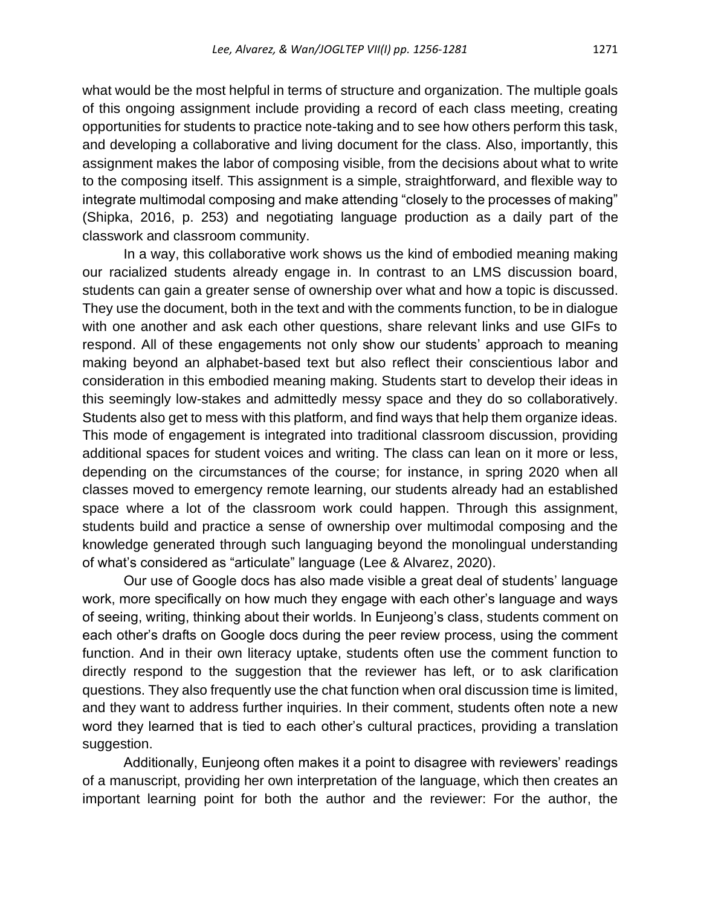what would be the most helpful in terms of structure and organization. The multiple goals of this ongoing assignment include providing a record of each class meeting, creating opportunities for students to practice note-taking and to see how others perform this task, and developing a collaborative and living document for the class. Also, importantly, this assignment makes the labor of composing visible, from the decisions about what to write to the composing itself. This assignment is a simple, straightforward, and flexible way to integrate multimodal composing and make attending "closely to the processes of making" (Shipka, 2016, p. 253) and negotiating language production as a daily part of the classwork and classroom community.

In a way, this collaborative work shows us the kind of embodied meaning making our racialized students already engage in. In contrast to an LMS discussion board, students can gain a greater sense of ownership over what and how a topic is discussed. They use the document, both in the text and with the comments function, to be in dialogue with one another and ask each other questions, share relevant links and use GIFs to respond. All of these engagements not only show our students' approach to meaning making beyond an alphabet-based text but also reflect their conscientious labor and consideration in this embodied meaning making. Students start to develop their ideas in this seemingly low-stakes and admittedly messy space and they do so collaboratively. Students also get to mess with this platform, and find ways that help them organize ideas. This mode of engagement is integrated into traditional classroom discussion, providing additional spaces for student voices and writing. The class can lean on it more or less, depending on the circumstances of the course; for instance, in spring 2020 when all classes moved to emergency remote learning, our students already had an established space where a lot of the classroom work could happen. Through this assignment, students build and practice a sense of ownership over multimodal composing and the knowledge generated through such languaging beyond the monolingual understanding of what's considered as "articulate" language (Lee & Alvarez, 2020).

Our use of Google docs has also made visible a great deal of students' language work, more specifically on how much they engage with each other's language and ways of seeing, writing, thinking about their worlds. In Eunjeong's class, students comment on each other's drafts on Google docs during the peer review process, using the comment function. And in their own literacy uptake, students often use the comment function to directly respond to the suggestion that the reviewer has left, or to ask clarification questions. They also frequently use the chat function when oral discussion time is limited, and they want to address further inquiries. In their comment, students often note a new word they learned that is tied to each other's cultural practices, providing a translation suggestion.

Additionally, Eunjeong often makes it a point to disagree with reviewers' readings of a manuscript, providing her own interpretation of the language, which then creates an important learning point for both the author and the reviewer: For the author, the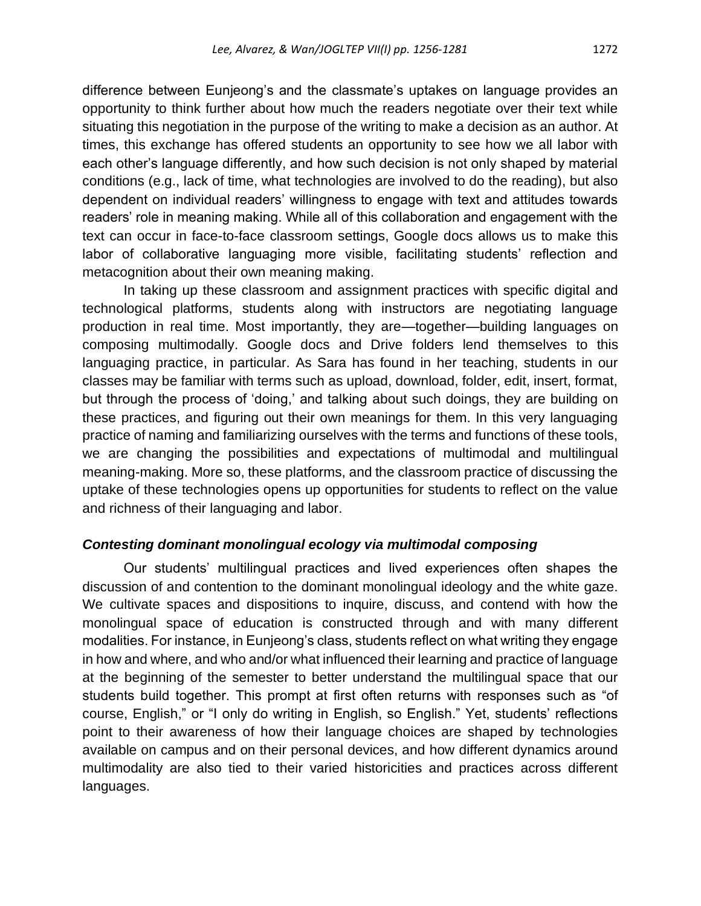difference between Eunjeong's and the classmate's uptakes on language provides an opportunity to think further about how much the readers negotiate over their text while situating this negotiation in the purpose of the writing to make a decision as an author. At times, this exchange has offered students an opportunity to see how we all labor with each other's language differently, and how such decision is not only shaped by material conditions (e.g., lack of time, what technologies are involved to do the reading), but also dependent on individual readers' willingness to engage with text and attitudes towards readers' role in meaning making. While all of this collaboration and engagement with the text can occur in face-to-face classroom settings, Google docs allows us to make this labor of collaborative languaging more visible, facilitating students' reflection and metacognition about their own meaning making.

In taking up these classroom and assignment practices with specific digital and technological platforms, students along with instructors are negotiating language production in real time. Most importantly, they are—together—building languages on composing multimodally. Google docs and Drive folders lend themselves to this languaging practice, in particular. As Sara has found in her teaching, students in our classes may be familiar with terms such as upload, download, folder, edit, insert, format, but through the process of 'doing,' and talking about such doings, they are building on these practices, and figuring out their own meanings for them. In this very languaging practice of naming and familiarizing ourselves with the terms and functions of these tools, we are changing the possibilities and expectations of multimodal and multilingual meaning-making. More so, these platforms, and the classroom practice of discussing the uptake of these technologies opens up opportunities for students to reflect on the value and richness of their languaging and labor.

### *Contesting dominant monolingual ecology via multimodal composing*

Our students' multilingual practices and lived experiences often shapes the discussion of and contention to the dominant monolingual ideology and the white gaze. We cultivate spaces and dispositions to inquire, discuss, and contend with how the monolingual space of education is constructed through and with many different modalities. For instance, in Eunjeong's class, students reflect on what writing they engage in how and where, and who and/or what influenced their learning and practice of language at the beginning of the semester to better understand the multilingual space that our students build together. This prompt at first often returns with responses such as "of course, English," or "I only do writing in English, so English." Yet, students' reflections point to their awareness of how their language choices are shaped by technologies available on campus and on their personal devices, and how different dynamics around multimodality are also tied to their varied historicities and practices across different languages.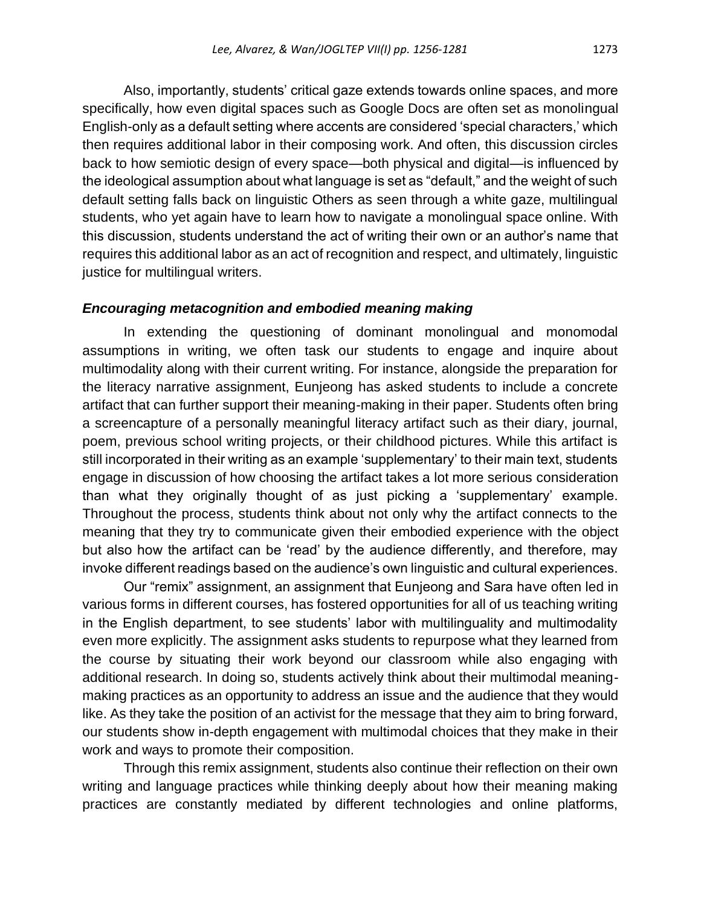Also, importantly, students' critical gaze extends towards online spaces, and more specifically, how even digital spaces such as Google Docs are often set as monolingual English-only as a default setting where accents are considered 'special characters,' which then requires additional labor in their composing work. And often, this discussion circles back to how semiotic design of every space—both physical and digital—is influenced by the ideological assumption about what language is set as "default," and the weight of such default setting falls back on linguistic Others as seen through a white gaze, multilingual students, who yet again have to learn how to navigate a monolingual space online. With this discussion, students understand the act of writing their own or an author's name that requires this additional labor as an act of recognition and respect, and ultimately, linguistic justice for multilingual writers.

### *Encouraging metacognition and embodied meaning making*

In extending the questioning of dominant monolingual and monomodal assumptions in writing, we often task our students to engage and inquire about multimodality along with their current writing. For instance, alongside the preparation for the literacy narrative assignment, Eunjeong has asked students to include a concrete artifact that can further support their meaning-making in their paper. Students often bring a screencapture of a personally meaningful literacy artifact such as their diary, journal, poem, previous school writing projects, or their childhood pictures. While this artifact is still incorporated in their writing as an example 'supplementary' to their main text, students engage in discussion of how choosing the artifact takes a lot more serious consideration than what they originally thought of as just picking a 'supplementary' example. Throughout the process, students think about not only why the artifact connects to the meaning that they try to communicate given their embodied experience with the object but also how the artifact can be 'read' by the audience differently, and therefore, may invoke different readings based on the audience's own linguistic and cultural experiences.

Our "remix" assignment, an assignment that Eunjeong and Sara have often led in various forms in different courses, has fostered opportunities for all of us teaching writing in the English department, to see students' labor with multilinguality and multimodality even more explicitly. The assignment asks students to repurpose what they learned from the course by situating their work beyond our classroom while also engaging with additional research. In doing so, students actively think about their multimodal meaningmaking practices as an opportunity to address an issue and the audience that they would like. As they take the position of an activist for the message that they aim to bring forward, our students show in-depth engagement with multimodal choices that they make in their work and ways to promote their composition.

Through this remix assignment, students also continue their reflection on their own writing and language practices while thinking deeply about how their meaning making practices are constantly mediated by different technologies and online platforms,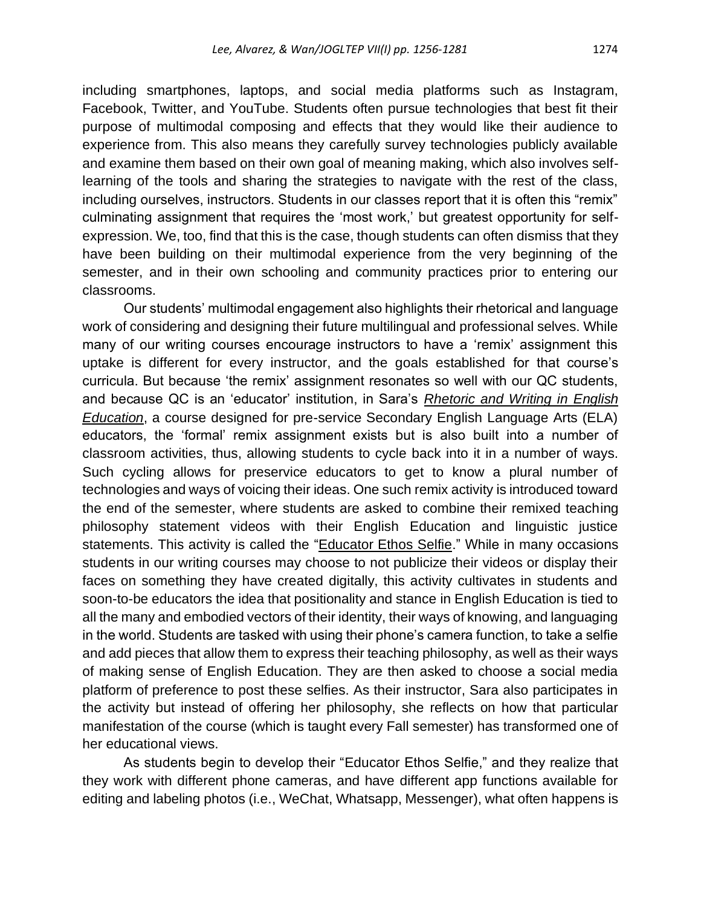including smartphones, laptops, and social media platforms such as Instagram, Facebook, Twitter, and YouTube. Students often pursue technologies that best fit their purpose of multimodal composing and effects that they would like their audience to experience from. This also means they carefully survey technologies publicly available and examine them based on their own goal of meaning making, which also involves selflearning of the tools and sharing the strategies to navigate with the rest of the class, including ourselves, instructors. Students in our classes report that it is often this "remix" culminating assignment that requires the 'most work,' but greatest opportunity for selfexpression. We, too, find that this is the case, though students can often dismiss that they have been building on their multimodal experience from the very beginning of the semester, and in their own schooling and community practices prior to entering our classrooms.

Our students' multimodal engagement also highlights their rhetorical and language work of considering and designing their future multilingual and professional selves. While many of our writing courses encourage instructors to have a 'remix' assignment this uptake is different for every instructor, and the goals established for that course's curricula. But because 'the remix' assignment resonates so well with our QC students, and because QC is an 'educator' institution, in Sara's *[Rhetoric and Writing in English](http://rhetoricaleducator2019.qwriting.qc.cuny.edu/)  [Education](http://rhetoricaleducator2019.qwriting.qc.cuny.edu/)*, a course designed for pre-service Secondary English Language Arts (ELA) educators, the 'formal' remix assignment exists but is also built into a number of classroom activities, thus, allowing students to cycle back into it in a number of ways. Such cycling allows for preservice educators to get to know a plural number of technologies and ways of voicing their ideas. One such remix activity is introduced toward the end of the semester, where students are asked to combine their remixed teaching philosophy statement videos with their English Education and linguistic justice statements. This activity is called the ["Educator Ethos Selfie.](http://rhetoricaleducator2019.qwriting.qc.cuny.edu/educatorethosselfies_samples/)" While in many occasions students in our writing courses may choose to not publicize their videos or display their faces on something they have created digitally, this activity cultivates in students and soon-to-be educators the idea that positionality and stance in English Education is tied to all the many and embodied vectors of their identity, their ways of knowing, and languaging in the world. Students are tasked with using their phone's camera function, to take a selfie and add pieces that allow them to express their teaching philosophy, as well as their ways of making sense of English Education. They are then asked to choose a social media platform of preference to post these selfies. As their instructor, Sara also participates in the activity but instead of offering her philosophy, she reflects on how that particular manifestation of the course (which is taught every Fall semester) has transformed one of her educational views.

As students begin to develop their "Educator Ethos Selfie," and they realize that they work with different phone cameras, and have different app functions available for editing and labeling photos (i.e., WeChat, Whatsapp, Messenger), what often happens is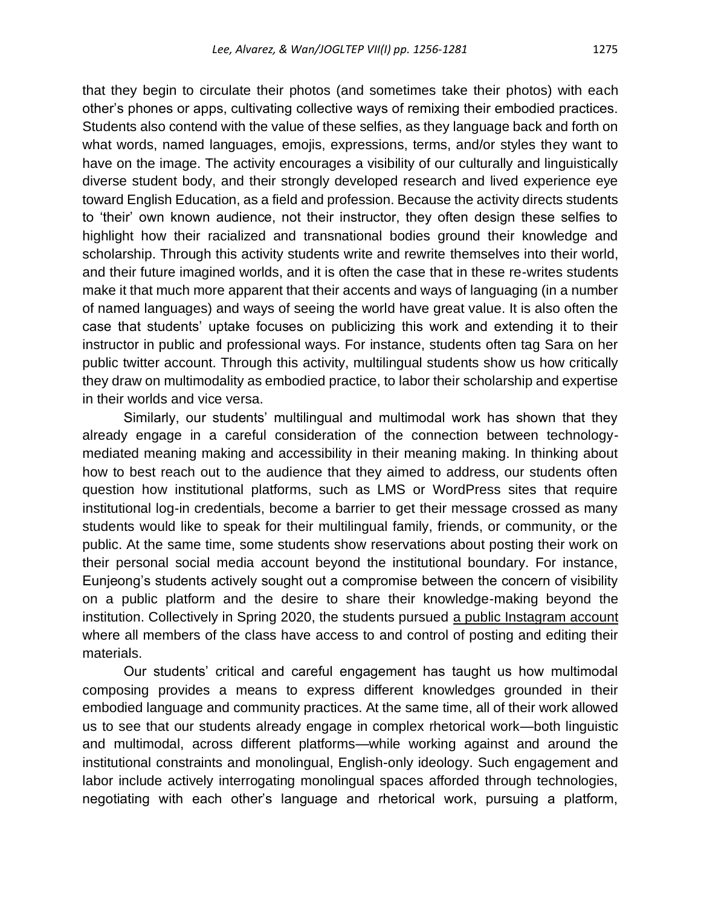that they begin to circulate their photos (and sometimes take their photos) with each other's phones or apps, cultivating collective ways of remixing their embodied practices. Students also contend with the value of these selfies, as they language back and forth on what words, named languages, emojis, expressions, terms, and/or styles they want to have on the image. The activity encourages a visibility of our culturally and linguistically diverse student body, and their strongly developed research and lived experience eye toward English Education, as a field and profession. Because the activity directs students to 'their' own known audience, not their instructor, they often design these selfies to highlight how their racialized and transnational bodies ground their knowledge and scholarship. Through this activity students write and rewrite themselves into their world, and their future imagined worlds, and it is often the case that in these re-writes students make it that much more apparent that their accents and ways of languaging (in a number of named languages) and ways of seeing the world have great value. It is also often the case that students' uptake focuses on publicizing this work and extending it to their instructor in public and professional ways. For instance, students often tag Sara on her public twitter account. Through this activity, multilingual students show us how critically they draw on multimodality as embodied practice, to labor their scholarship and expertise in their worlds and vice versa.

Similarly, our students' multilingual and multimodal work has shown that they already engage in a careful consideration of the connection between technologymediated meaning making and accessibility in their meaning making. In thinking about how to best reach out to the audience that they aimed to address, our students often question how institutional platforms, such as LMS or WordPress sites that require institutional log-in credentials, become a barrier to get their message crossed as many students would like to speak for their multilingual family, friends, or community, or the public. At the same time, some students show reservations about posting their work on their personal social media account beyond the institutional boundary. For instance, Eunjeong's students actively sought out a compromise between the concern of visibility on a public platform and the desire to share their knowledge-making beyond the institution. Collectively in Spring 2020, the students pursued [a public Instagram account](https://www.instagram.com/ourlanguageourlives/) where all members of the class have access to and control of posting and editing their materials.

Our students' critical and careful engagement has taught us how multimodal composing provides a means to express different knowledges grounded in their embodied language and community practices. At the same time, all of their work allowed us to see that our students already engage in complex rhetorical work—both linguistic and multimodal, across different platforms—while working against and around the institutional constraints and monolingual, English-only ideology. Such engagement and labor include actively interrogating monolingual spaces afforded through technologies, negotiating with each other's language and rhetorical work, pursuing a platform,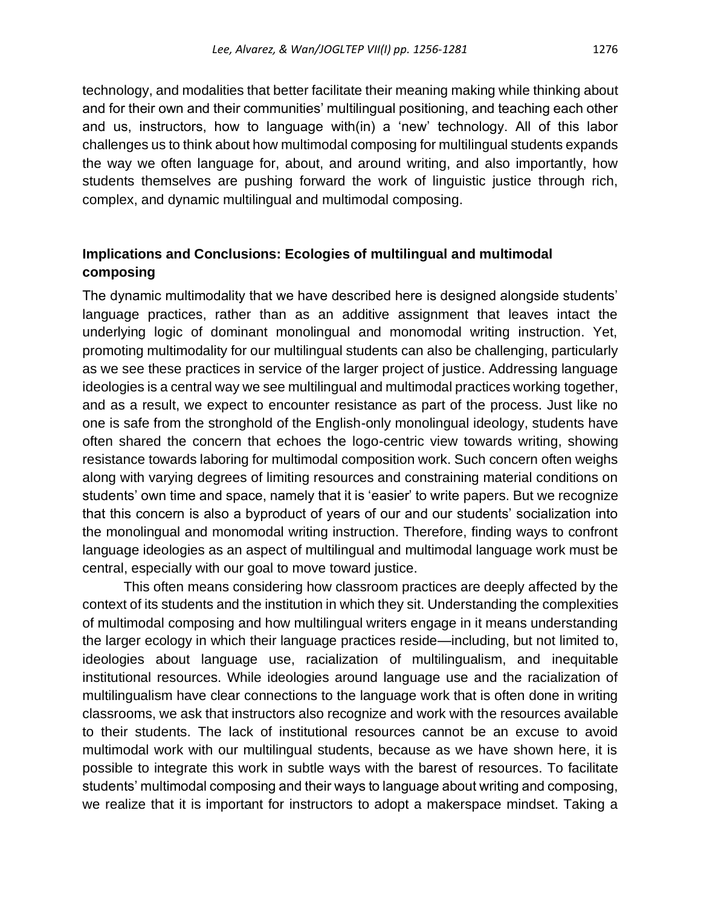technology, and modalities that better facilitate their meaning making while thinking about and for their own and their communities' multilingual positioning, and teaching each other and us, instructors, how to language with(in) a 'new' technology. All of this labor challenges us to think about how multimodal composing for multilingual students expands the way we often language for, about, and around writing, and also importantly, how students themselves are pushing forward the work of linguistic justice through rich, complex, and dynamic multilingual and multimodal composing.

### **Implications and Conclusions: Ecologies of multilingual and multimodal composing**

The dynamic multimodality that we have described here is designed alongside students' language practices, rather than as an additive assignment that leaves intact the underlying logic of dominant monolingual and monomodal writing instruction. Yet, promoting multimodality for our multilingual students can also be challenging, particularly as we see these practices in service of the larger project of justice. Addressing language ideologies is a central way we see multilingual and multimodal practices working together, and as a result, we expect to encounter resistance as part of the process. Just like no one is safe from the stronghold of the English-only monolingual ideology, students have often shared the concern that echoes the logo-centric view towards writing, showing resistance towards laboring for multimodal composition work. Such concern often weighs along with varying degrees of limiting resources and constraining material conditions on students' own time and space, namely that it is 'easier' to write papers. But we recognize that this concern is also a byproduct of years of our and our students' socialization into the monolingual and monomodal writing instruction. Therefore, finding ways to confront language ideologies as an aspect of multilingual and multimodal language work must be central, especially with our goal to move toward justice.

This often means considering how classroom practices are deeply affected by the context of its students and the institution in which they sit. Understanding the complexities of multimodal composing and how multilingual writers engage in it means understanding the larger ecology in which their language practices reside—including, but not limited to, ideologies about language use, racialization of multilingualism, and inequitable institutional resources. While ideologies around language use and the racialization of multilingualism have clear connections to the language work that is often done in writing classrooms, we ask that instructors also recognize and work with the resources available to their students. The lack of institutional resources cannot be an excuse to avoid multimodal work with our multilingual students, because as we have shown here, it is possible to integrate this work in subtle ways with the barest of resources. To facilitate students' multimodal composing and their ways to language about writing and composing, we realize that it is important for instructors to adopt a makerspace mindset. Taking a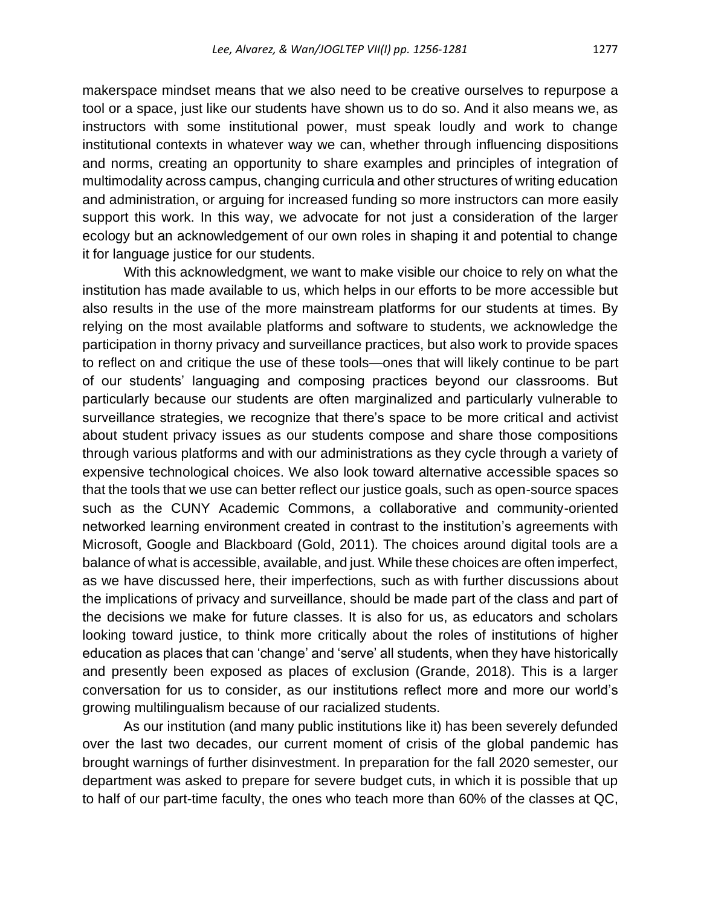makerspace mindset means that we also need to be creative ourselves to repurpose a tool or a space, just like our students have shown us to do so. And it also means we, as instructors with some institutional power, must speak loudly and work to change institutional contexts in whatever way we can, whether through influencing dispositions and norms, creating an opportunity to share examples and principles of integration of multimodality across campus, changing curricula and other structures of writing education and administration, or arguing for increased funding so more instructors can more easily support this work. In this way, we advocate for not just a consideration of the larger ecology but an acknowledgement of our own roles in shaping it and potential to change it for language justice for our students.

With this acknowledgment, we want to make visible our choice to rely on what the institution has made available to us, which helps in our efforts to be more accessible but also results in the use of the more mainstream platforms for our students at times. By relying on the most available platforms and software to students, we acknowledge the participation in thorny privacy and surveillance practices, but also work to provide spaces to reflect on and critique the use of these tools—ones that will likely continue to be part of our students' languaging and composing practices beyond our classrooms. But particularly because our students are often marginalized and particularly vulnerable to surveillance strategies, we recognize that there's space to be more critical and activist about student privacy issues as our students compose and share those compositions through various platforms and with our administrations as they cycle through a variety of expensive technological choices. We also look toward alternative accessible spaces so that the tools that we use can better reflect our justice goals, such as open-source spaces such as the CUNY Academic Commons, a collaborative and community-oriented networked learning environment created in contrast to the institution's agreements with Microsoft, Google and Blackboard (Gold, 2011). The choices around digital tools are a balance of what is accessible, available, and just. While these choices are often imperfect, as we have discussed here, their imperfections, such as with further discussions about the implications of privacy and surveillance, should be made part of the class and part of the decisions we make for future classes. It is also for us, as educators and scholars looking toward justice, to think more critically about the roles of institutions of higher education as places that can 'change' and 'serve' all students, when they have historically and presently been exposed as places of exclusion (Grande, 2018). This is a larger conversation for us to consider, as our institutions reflect more and more our world's growing multilingualism because of our racialized students.

As our institution (and many public institutions like it) has been severely defunded over the last two decades, our current moment of crisis of the global pandemic has brought warnings of further disinvestment. In preparation for the fall 2020 semester, our department was asked to prepare for severe budget cuts, in which it is possible that up to half of our part-time faculty, the ones who teach more than 60% of the classes at QC,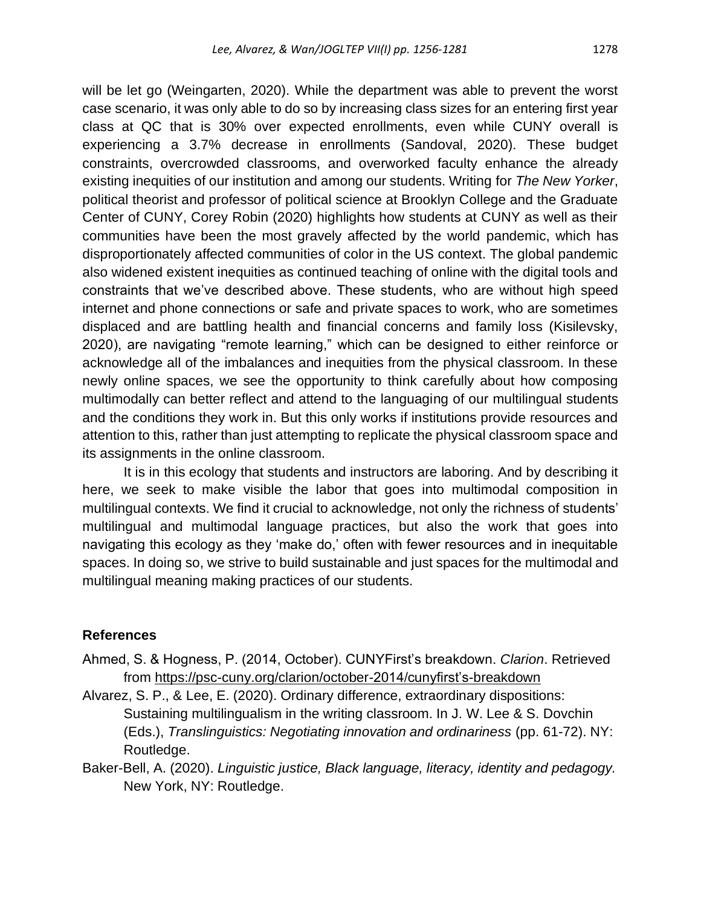will be let go (Weingarten, 2020). While the department was able to prevent the worst case scenario, it was only able to do so by increasing class sizes for an entering first year class at QC that is 30% over expected enrollments, even while CUNY overall is experiencing a 3.7% decrease in enrollments (Sandoval, 2020). These budget constraints, overcrowded classrooms, and overworked faculty enhance the already existing inequities of our institution and among our students. Writing for *The New Yorker*, political theorist and professor of political science at Brooklyn College and the Graduate Center of CUNY, Corey Robin (2020) highlights how students at CUNY as well as their communities have been the most gravely affected by the world pandemic, which has disproportionately affected communities of color in the US context. The global pandemic also widened existent inequities as continued teaching of online with the digital tools and constraints that we've described above. These students, who are without high speed internet and phone connections or safe and private spaces to work, who are sometimes displaced and are battling health and financial concerns and family loss (Kisilevsky, 2020), are navigating "remote learning," which can be designed to either reinforce or acknowledge all of the imbalances and inequities from the physical classroom. In these newly online spaces, we see the opportunity to think carefully about how composing multimodally can better reflect and attend to the languaging of our multilingual students and the conditions they work in. But this only works if institutions provide resources and attention to this, rather than just attempting to replicate the physical classroom space and its assignments in the online classroom.

It is in this ecology that students and instructors are laboring. And by describing it here, we seek to make visible the labor that goes into multimodal composition in multilingual contexts. We find it crucial to acknowledge, not only the richness of students' multilingual and multimodal language practices, but also the work that goes into navigating this ecology as they 'make do,' often with fewer resources and in inequitable spaces. In doing so, we strive to build sustainable and just spaces for the multimodal and multilingual meaning making practices of our students.

### **References**

- Ahmed, S. & Hogness, P. (2014, October). CUNYFirst's breakdown. *Clarion*. Retrieved from [https://psc-cuny.org/clarion/october-2014/cunyfirst's-breakdown](https://psc-cuny.org/clarion/october-2014/cunyfirst’s-breakdown)
- Alvarez, S. P., & Lee, E. (2020). Ordinary difference, extraordinary dispositions: Sustaining multilingualism in the writing classroom. In J. W. Lee & S. Dovchin (Eds.), *Translinguistics: Negotiating innovation and ordinariness* (pp. 61-72). NY: Routledge.
- Baker-Bell, A. (2020). *Linguistic justice, Black language, literacy, identity and pedagogy.* New York, NY: Routledge.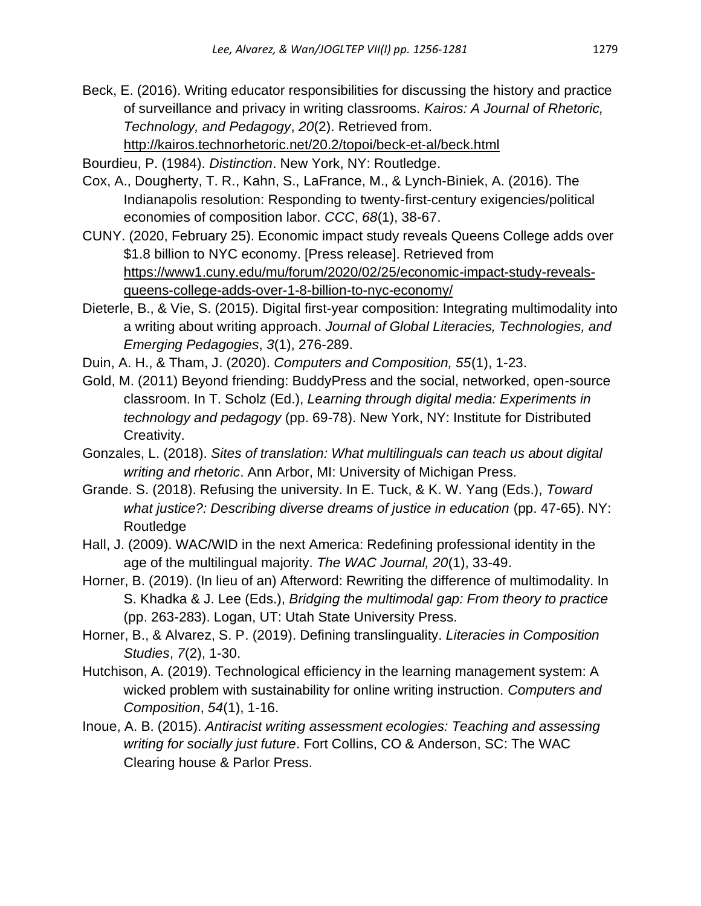Beck, E. (2016). Writing educator responsibilities for discussing the history and practice of surveillance and privacy in writing classrooms. *Kairos: A Journal of Rhetoric, Technology, and Pedagogy*, *20*(2). Retrieved from. <http://kairos.technorhetoric.net/20.2/topoi/beck-et-al/beck.html>

Bourdieu, P. (1984). *Distinction*. New York, NY: Routledge.

- Cox, A., Dougherty, T. R., Kahn, S., LaFrance, M., & Lynch-Biniek, A. (2016). The Indianapolis resolution: Responding to twenty-first-century exigencies/political economies of composition labor. *CCC*, *68*(1), 38-67.
- CUNY. (2020, February 25). Economic impact study reveals Queens College adds over \$1.8 billion to NYC economy. [Press release]. Retrieved from [https://www1.cuny.edu/mu/forum/2020/02/25/economic-impact-study-reveals](https://www1.cuny.edu/mu/forum/2020/02/25/economic-impact-study-reveals-queens-college-adds-over-1-8-billion-to-nyc-economy/)[queens-college-adds-over-1-8-billion-to-nyc-economy/](https://www1.cuny.edu/mu/forum/2020/02/25/economic-impact-study-reveals-queens-college-adds-over-1-8-billion-to-nyc-economy/)
- Dieterle, B., & Vie, S. (2015). Digital first-year composition: Integrating multimodality into a writing about writing approach. *Journal of Global Literacies, Technologies, and Emerging Pedagogies*, *3*(1), 276-289.
- Duin, A. H., & Tham, J. (2020). *Computers and Composition, 55*(1), 1-23.
- Gold, M. (2011) Beyond friending: BuddyPress and the social, networked, open-source classroom. In T. Scholz (Ed.), *Learning through digital media: Experiments in technology and pedagogy* (pp. 69-78). New York, NY: Institute for Distributed Creativity.
- Gonzales, L. (2018). *Sites of translation: What multilinguals can teach us about digital writing and rhetoric*. Ann Arbor, MI: University of Michigan Press.
- Grande. S. (2018). Refusing the university. In E. Tuck, & K. W. Yang (Eds.), *Toward*  what justice?: Describing diverse dreams of justice in education (pp. 47-65). NY: Routledge
- Hall, J. (2009). WAC/WID in the next America: Redefining professional identity in the age of the multilingual majority. *The WAC Journal, 20*(1), 33-49.
- Horner, B. (2019). (In lieu of an) Afterword: Rewriting the difference of multimodality. In S. Khadka & J. Lee (Eds.), *Bridging the multimodal gap: From theory to practice* (pp. 263-283). Logan, UT: Utah State University Press.
- Horner, B., & Alvarez, S. P. (2019). Defining translinguality. *Literacies in Composition Studies*, *7*(2), 1-30.
- Hutchison, A. (2019). Technological efficiency in the learning management system: A wicked problem with sustainability for online writing instruction. *Computers and Composition*, *54*(1), 1-16.
- Inoue, A. B. (2015). *Antiracist writing assessment ecologies: Teaching and assessing writing for socially just future*. Fort Collins, CO & Anderson, SC: The WAC Clearing house & Parlor Press.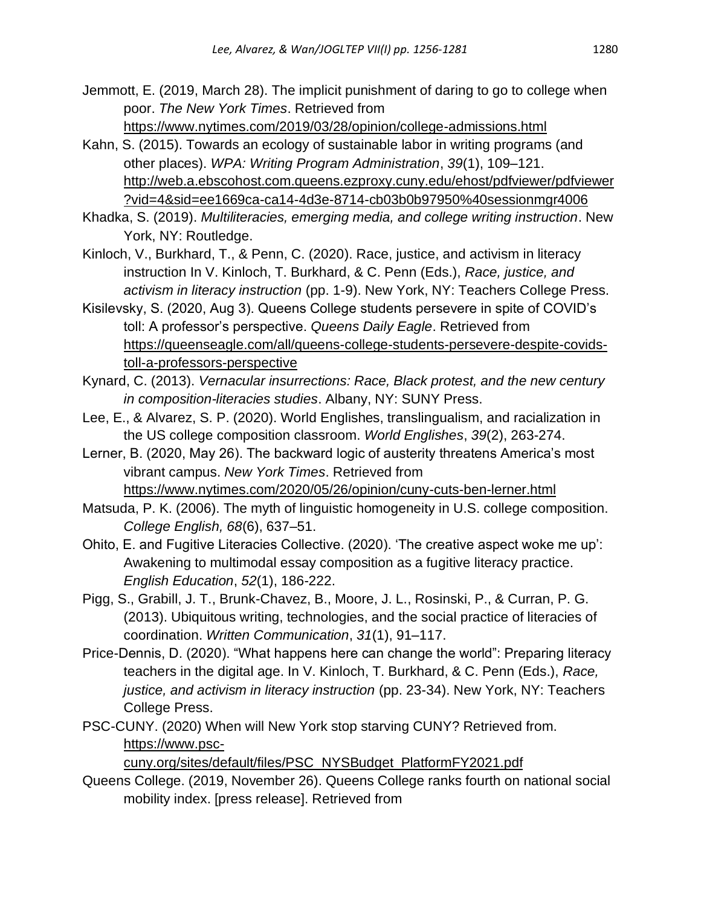Jemmott, E. (2019, March 28). The implicit punishment of daring to go to college when poor. *The New York Times*. Retrieved from <https://www.nytimes.com/2019/03/28/opinion/college-admissions.html>

- Kahn, S. (2015). Towards an ecology of sustainable labor in writing programs (and other places). *WPA: Writing Program Administration*, *39*(1), 109–121. http://web.a.ebscohost.com.queens.ezproxy.cuny.edu/ehost/pdfviewer/pdfviewer ?vid=4&sid=ee1669ca-ca14-4d3e-8714-cb03b0b97950%40sessionmgr4006
- Khadka, S. (2019). *Multiliteracies, emerging media, and college writing instruction*. New York, NY: Routledge.
- Kinloch, V., Burkhard, T., & Penn, C. (2020). Race, justice, and activism in literacy instruction In V. Kinloch, T. Burkhard, & C. Penn (Eds.), *Race, justice, and activism in literacy instruction* (pp. 1-9). New York, NY: Teachers College Press.
- Kisilevsky, S. (2020, Aug 3). Queens College students persevere in spite of COVID's toll: A professor's perspective. *Queens Daily Eagle*. Retrieved from https://queenseagle.com/all/queens-college-students-persevere-despite-covidstoll-a-professors-perspective
- Kynard, C. (2013). *Vernacular insurrections: Race, Black protest, and the new century in composition-literacies studies*. Albany, NY: SUNY Press.
- Lee, E., & Alvarez, S. P. (2020). World Englishes, translingualism, and racialization in the US college composition classroom. *World Englishes*, *39*(2), 263-274.
- Lerner, B. (2020, May 26). The backward logic of austerity threatens America's most vibrant campus. *New York Times*. Retrieved from <https://www.nytimes.com/2020/05/26/opinion/cuny-cuts-ben-lerner.html>
- Matsuda, P. K. (2006). The myth of linguistic homogeneity in U.S. college composition. *College English, 68*(6), 637–51.
- Ohito, E. and Fugitive Literacies Collective. (2020). 'The creative aspect woke me up': Awakening to multimodal essay composition as a fugitive literacy practice. *English Education*, *52*(1), 186-222.
- Pigg, S., Grabill, J. T., Brunk-Chavez, B., Moore, J. L., Rosinski, P., & Curran, P. G. (2013). Ubiquitous writing, technologies, and the social practice of literacies of coordination. *Written Communication*, *31*(1), 91–117.
- Price-Dennis, D. (2020). "What happens here can change the world": Preparing literacy teachers in the digital age. In V. Kinloch, T. Burkhard, & C. Penn (Eds.), *Race, justice, and activism in literacy instruction* (pp. 23-34). New York, NY: Teachers College Press.
- PSC-CUNY. (2020) When will New York stop starving CUNY? Retrieved from. [https://www.psc-](https://www.psc-cuny.org/sites/default/files/PSC_NYSBudget_PlatformFY2021.pdf)

[cuny.org/sites/default/files/PSC\\_NYSBudget\\_PlatformFY2021.pdf](https://www.psc-cuny.org/sites/default/files/PSC_NYSBudget_PlatformFY2021.pdf)

Queens College. (2019, November 26). Queens College ranks fourth on national social mobility index. [press release]. Retrieved from